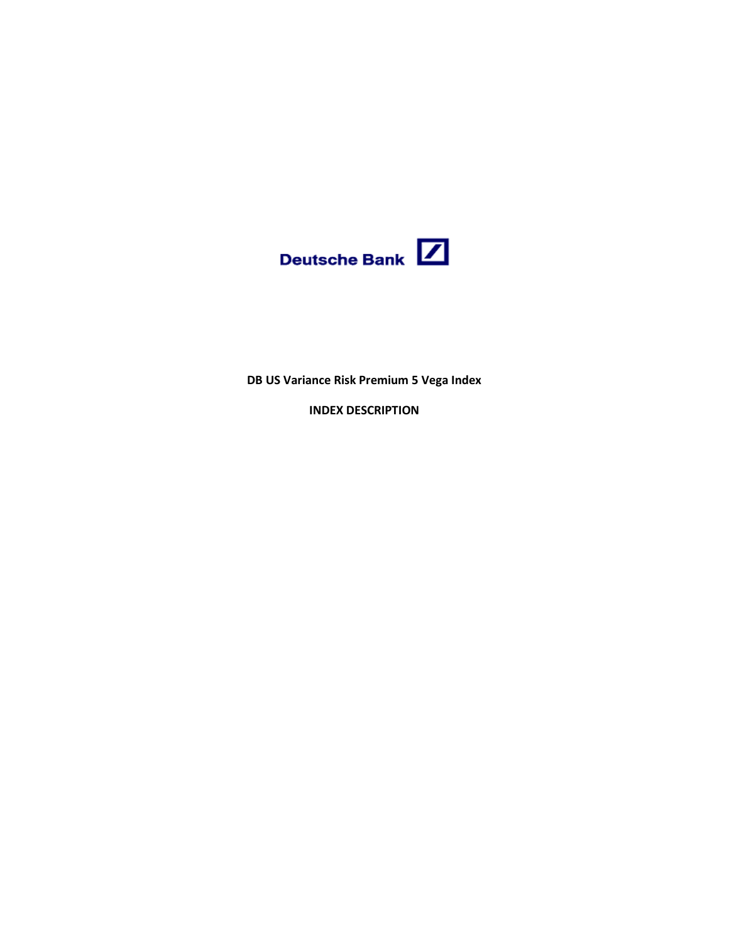

**DB US Variance Risk Premium 5 Vega Index**

**INDEX DESCRIPTION**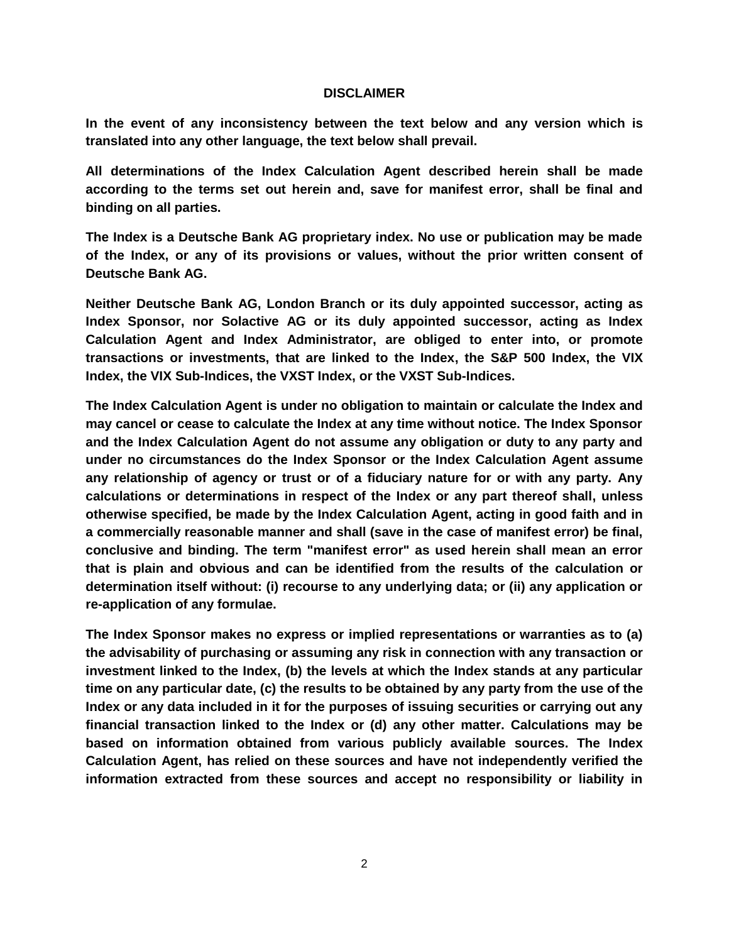#### **DISCLAIMER**

**In the event of any inconsistency between the text below and any version which is translated into any other language, the text below shall prevail.**

**All determinations of the Index Calculation Agent described herein shall be made according to the terms set out herein and, save for manifest error, shall be final and binding on all parties.**

**The Index is a Deutsche Bank AG proprietary index. No use or publication may be made of the Index, or any of its provisions or values, without the prior written consent of Deutsche Bank AG.**

**Neither Deutsche Bank AG, London Branch or its duly appointed successor, acting as Index Sponsor, nor Solactive AG or its duly appointed successor, acting as Index Calculation Agent and Index Administrator, are obliged to enter into, or promote transactions or investments, that are linked to the Index, the S&P 500 Index, the VIX Index, the VIX Sub-Indices, the VXST Index, or the VXST Sub-Indices.**

**The Index Calculation Agent is under no obligation to maintain or calculate the Index and may cancel or cease to calculate the Index at any time without notice. The Index Sponsor and the Index Calculation Agent do not assume any obligation or duty to any party and under no circumstances do the Index Sponsor or the Index Calculation Agent assume any relationship of agency or trust or of a fiduciary nature for or with any party. Any calculations or determinations in respect of the Index or any part thereof shall, unless otherwise specified, be made by the Index Calculation Agent, acting in good faith and in a commercially reasonable manner and shall (save in the case of manifest error) be final, conclusive and binding. The term "manifest error" as used herein shall mean an error that is plain and obvious and can be identified from the results of the calculation or determination itself without: (i) recourse to any underlying data; or (ii) any application or re-application of any formulae.** 

**The Index Sponsor makes no express or implied representations or warranties as to (a) the advisability of purchasing or assuming any risk in connection with any transaction or investment linked to the Index, (b) the levels at which the Index stands at any particular time on any particular date, (c) the results to be obtained by any party from the use of the Index or any data included in it for the purposes of issuing securities or carrying out any financial transaction linked to the Index or (d) any other matter. Calculations may be based on information obtained from various publicly available sources. The Index Calculation Agent, has relied on these sources and have not independently verified the information extracted from these sources and accept no responsibility or liability in**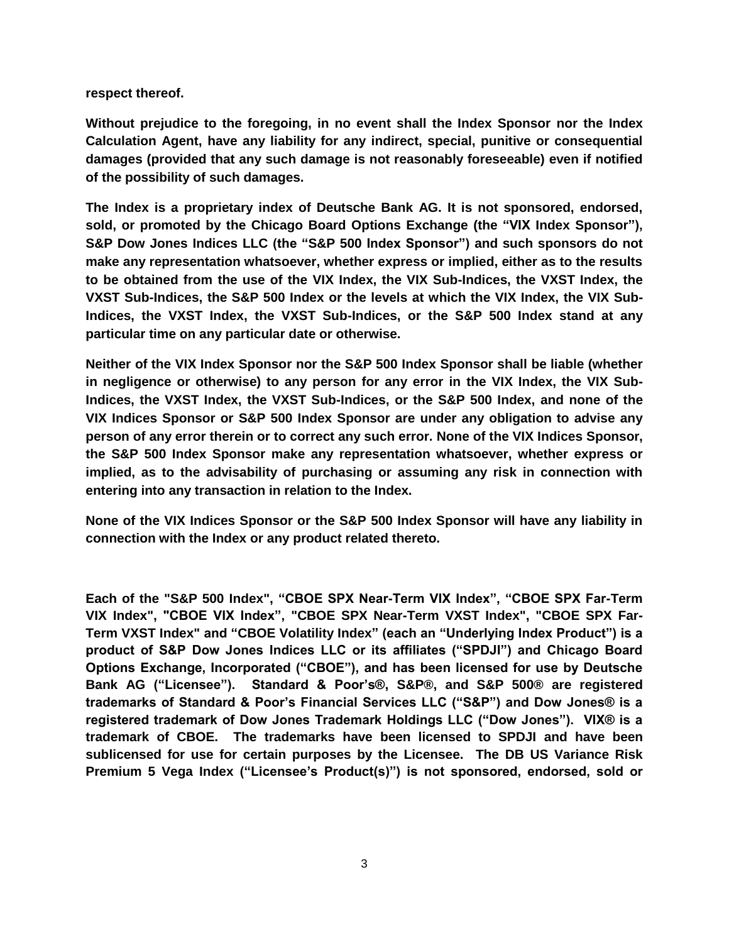**respect thereof.**

**Without prejudice to the foregoing, in no event shall the Index Sponsor nor the Index Calculation Agent, have any liability for any indirect, special, punitive or consequential damages (provided that any such damage is not reasonably foreseeable) even if notified of the possibility of such damages.**

**The Index is a proprietary index of Deutsche Bank AG. It is not sponsored, endorsed, sold, or promoted by the Chicago Board Options Exchange (the "VIX Index Sponsor"), S&P Dow Jones Indices LLC (the "S&P 500 Index Sponsor") and such sponsors do not make any representation whatsoever, whether express or implied, either as to the results to be obtained from the use of the VIX Index, the VIX Sub-Indices, the VXST Index, the VXST Sub-Indices, the S&P 500 Index or the levels at which the VIX Index, the VIX Sub-Indices, the VXST Index, the VXST Sub-Indices, or the S&P 500 Index stand at any particular time on any particular date or otherwise.**

**Neither of the VIX Index Sponsor nor the S&P 500 Index Sponsor shall be liable (whether in negligence or otherwise) to any person for any error in the VIX Index, the VIX Sub-Indices, the VXST Index, the VXST Sub-Indices, or the S&P 500 Index, and none of the VIX Indices Sponsor or S&P 500 Index Sponsor are under any obligation to advise any person of any error therein or to correct any such error. None of the VIX Indices Sponsor, the S&P 500 Index Sponsor make any representation whatsoever, whether express or implied, as to the advisability of purchasing or assuming any risk in connection with entering into any transaction in relation to the Index.**

**None of the VIX Indices Sponsor or the S&P 500 Index Sponsor will have any liability in connection with the Index or any product related thereto.**

**Each of the "S&P 500 Index", "CBOE SPX Near-Term VIX Index", "CBOE SPX Far-Term VIX Index", "CBOE VIX Index", "CBOE SPX Near-Term VXST Index", "CBOE SPX Far-Term VXST Index" and "CBOE Volatility Index" (each an "Underlying Index Product") is a product of S&P Dow Jones Indices LLC or its affiliates ("SPDJI") and Chicago Board Options Exchange, Incorporated ("CBOE"), and has been licensed for use by Deutsche Bank AG ("Licensee"). Standard & Poor's®, S&P®, and S&P 500® are registered trademarks of Standard & Poor's Financial Services LLC ("S&P") and Dow Jones® is a registered trademark of Dow Jones Trademark Holdings LLC ("Dow Jones"). VIX® is a trademark of CBOE. The trademarks have been licensed to SPDJI and have been sublicensed for use for certain purposes by the Licensee. The DB US Variance Risk Premium 5 Vega Index ("Licensee's Product(s)") is not sponsored, endorsed, sold or**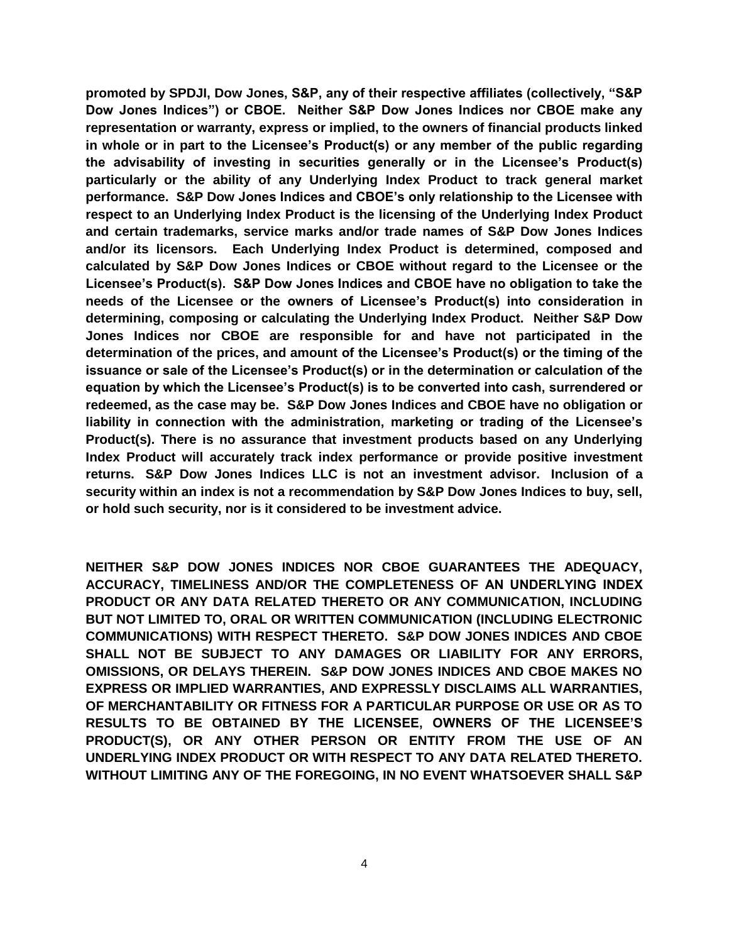**promoted by SPDJI, Dow Jones, S&P, any of their respective affiliates (collectively, "S&P Dow Jones Indices") or CBOE. Neither S&P Dow Jones Indices nor CBOE make any representation or warranty, express or implied, to the owners of financial products linked in whole or in part to the Licensee's Product(s) or any member of the public regarding the advisability of investing in securities generally or in the Licensee's Product(s) particularly or the ability of any Underlying Index Product to track general market performance. S&P Dow Jones Indices and CBOE's only relationship to the Licensee with respect to an Underlying Index Product is the licensing of the Underlying Index Product and certain trademarks, service marks and/or trade names of S&P Dow Jones Indices and/or its licensors. Each Underlying Index Product is determined, composed and calculated by S&P Dow Jones Indices or CBOE without regard to the Licensee or the Licensee's Product(s). S&P Dow Jones Indices and CBOE have no obligation to take the needs of the Licensee or the owners of Licensee's Product(s) into consideration in determining, composing or calculating the Underlying Index Product. Neither S&P Dow Jones Indices nor CBOE are responsible for and have not participated in the determination of the prices, and amount of the Licensee's Product(s) or the timing of the issuance or sale of the Licensee's Product(s) or in the determination or calculation of the equation by which the Licensee's Product(s) is to be converted into cash, surrendered or redeemed, as the case may be. S&P Dow Jones Indices and CBOE have no obligation or liability in connection with the administration, marketing or trading of the Licensee's Product(s). There is no assurance that investment products based on any Underlying Index Product will accurately track index performance or provide positive investment returns. S&P Dow Jones Indices LLC is not an investment advisor. Inclusion of a security within an index is not a recommendation by S&P Dow Jones Indices to buy, sell, or hold such security, nor is it considered to be investment advice.** 

**NEITHER S&P DOW JONES INDICES NOR CBOE GUARANTEES THE ADEQUACY, ACCURACY, TIMELINESS AND/OR THE COMPLETENESS OF AN UNDERLYING INDEX PRODUCT OR ANY DATA RELATED THERETO OR ANY COMMUNICATION, INCLUDING BUT NOT LIMITED TO, ORAL OR WRITTEN COMMUNICATION (INCLUDING ELECTRONIC COMMUNICATIONS) WITH RESPECT THERETO. S&P DOW JONES INDICES AND CBOE SHALL NOT BE SUBJECT TO ANY DAMAGES OR LIABILITY FOR ANY ERRORS, OMISSIONS, OR DELAYS THEREIN. S&P DOW JONES INDICES AND CBOE MAKES NO EXPRESS OR IMPLIED WARRANTIES, AND EXPRESSLY DISCLAIMS ALL WARRANTIES, OF MERCHANTABILITY OR FITNESS FOR A PARTICULAR PURPOSE OR USE OR AS TO RESULTS TO BE OBTAINED BY THE LICENSEE, OWNERS OF THE LICENSEE'S PRODUCT(S), OR ANY OTHER PERSON OR ENTITY FROM THE USE OF AN UNDERLYING INDEX PRODUCT OR WITH RESPECT TO ANY DATA RELATED THERETO. WITHOUT LIMITING ANY OF THE FOREGOING, IN NO EVENT WHATSOEVER SHALL S&P**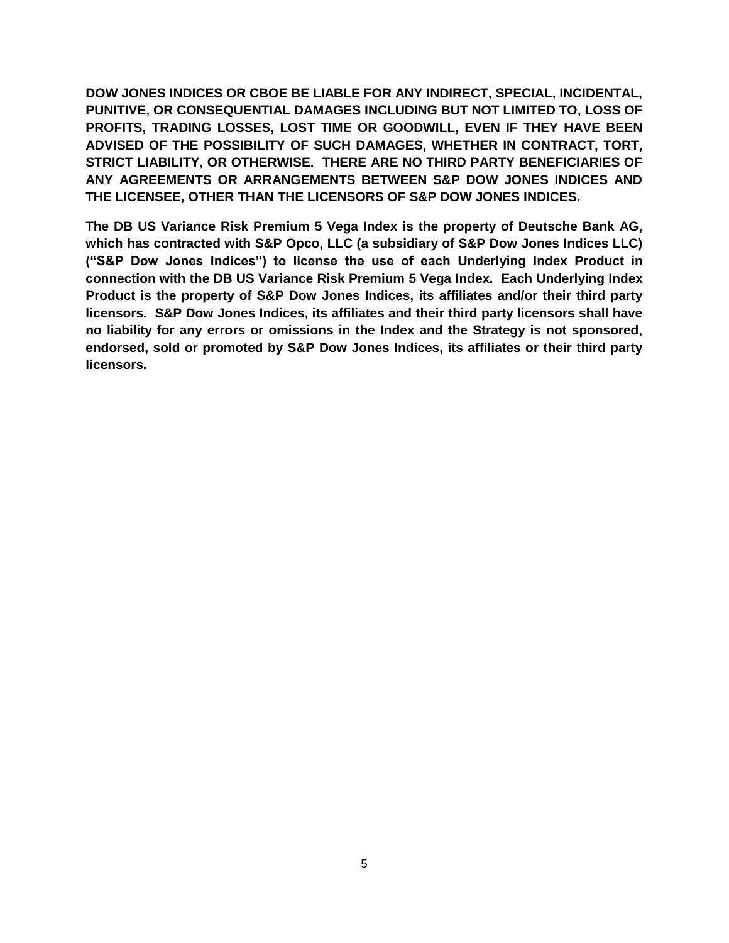**DOW JONES INDICES OR CBOE BE LIABLE FOR ANY INDIRECT, SPECIAL, INCIDENTAL, PUNITIVE, OR CONSEQUENTIAL DAMAGES INCLUDING BUT NOT LIMITED TO, LOSS OF PROFITS, TRADING LOSSES, LOST TIME OR GOODWILL, EVEN IF THEY HAVE BEEN ADVISED OF THE POSSIBILITY OF SUCH DAMAGES, WHETHER IN CONTRACT, TORT, STRICT LIABILITY, OR OTHERWISE. THERE ARE NO THIRD PARTY BENEFICIARIES OF ANY AGREEMENTS OR ARRANGEMENTS BETWEEN S&P DOW JONES INDICES AND THE LICENSEE, OTHER THAN THE LICENSORS OF S&P DOW JONES INDICES.**

**The DB US Variance Risk Premium 5 Vega Index is the property of Deutsche Bank AG, which has contracted with S&P Opco, LLC (a subsidiary of S&P Dow Jones Indices LLC) ("S&P Dow Jones Indices") to license the use of each Underlying Index Product in connection with the DB US Variance Risk Premium 5 Vega Index. Each Underlying Index Product is the property of S&P Dow Jones Indices, its affiliates and/or their third party licensors. S&P Dow Jones Indices, its affiliates and their third party licensors shall have no liability for any errors or omissions in the Index and the Strategy is not sponsored, endorsed, sold or promoted by S&P Dow Jones Indices, its affiliates or their third party licensors.**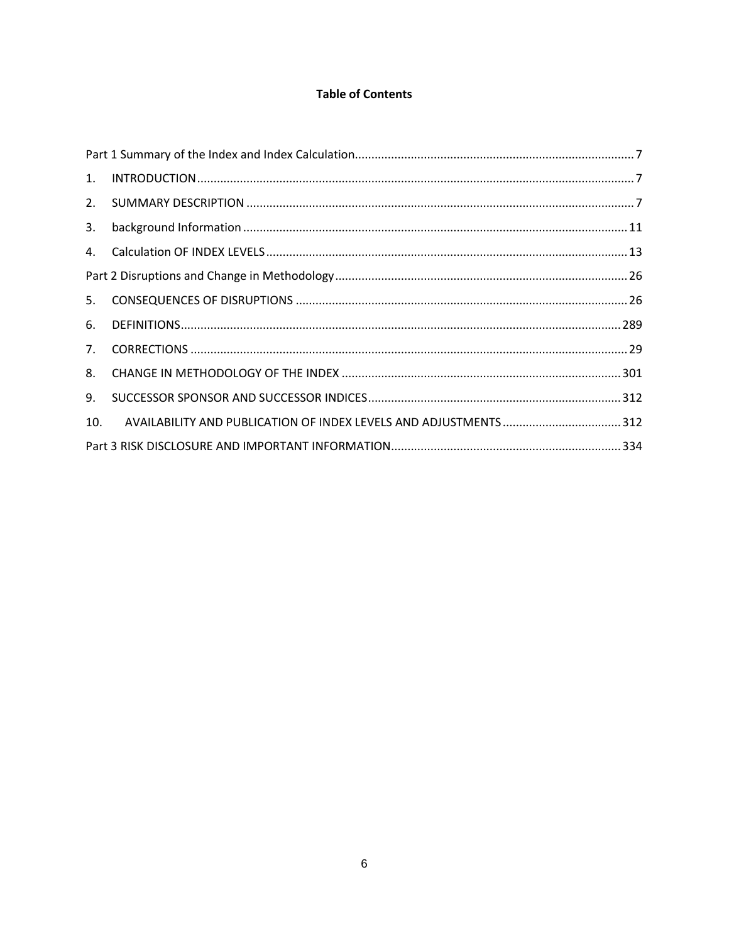## **Table of Contents**

| $\mathbf{1}$ . |  |  |  |
|----------------|--|--|--|
| 2.             |  |  |  |
| 3.             |  |  |  |
|                |  |  |  |
|                |  |  |  |
| 5.             |  |  |  |
| 6.             |  |  |  |
|                |  |  |  |
| 8.             |  |  |  |
| 9.             |  |  |  |
| 10.            |  |  |  |
|                |  |  |  |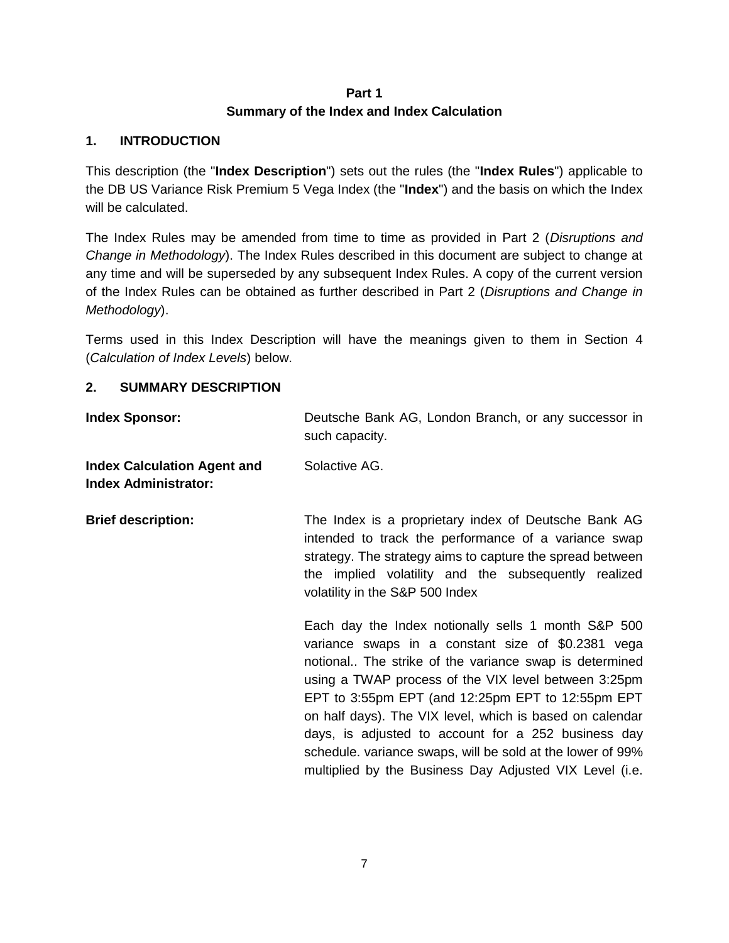## **Part 1 Summary of the Index and Index Calculation**

## <span id="page-6-1"></span><span id="page-6-0"></span>**1. INTRODUCTION**

This description (the "**Index Description**") sets out the rules (the "**Index Rules**") applicable to the DB US Variance Risk Premium 5 Vega Index (the "**Index**") and the basis on which the Index will be calculated.

The Index Rules may be amended from time to time as provided in Part 2 (*Disruptions and Change in Methodology*). The Index Rules described in this document are subject to change at any time and will be superseded by any subsequent Index Rules. A copy of the current version of the Index Rules can be obtained as further described in Part 2 (*Disruptions and Change in Methodology*).

Terms used in this Index Description will have the meanings given to them in Section [4](#page-12-0) (*Calculation of Index Levels*) below.

## <span id="page-6-2"></span>**2. SUMMARY DESCRIPTION**

| <b>Index Sponsor:</b>                                             | Deutsche Bank AG, London Branch, or any successor in<br>such capacity.                                                                                                                                                                                                                                                                                                                                                                                                                                                       |  |
|-------------------------------------------------------------------|------------------------------------------------------------------------------------------------------------------------------------------------------------------------------------------------------------------------------------------------------------------------------------------------------------------------------------------------------------------------------------------------------------------------------------------------------------------------------------------------------------------------------|--|
| <b>Index Calculation Agent and</b><br><b>Index Administrator:</b> | Solactive AG.                                                                                                                                                                                                                                                                                                                                                                                                                                                                                                                |  |
| <b>Brief description:</b>                                         | The Index is a proprietary index of Deutsche Bank AG<br>intended to track the performance of a variance swap<br>strategy. The strategy aims to capture the spread between<br>the implied volatility and the subsequently realized<br>volatility in the S&P 500 Index                                                                                                                                                                                                                                                         |  |
|                                                                   | Each day the Index notionally sells 1 month S&P 500<br>variance swaps in a constant size of \$0.2381 vega<br>notional The strike of the variance swap is determined<br>using a TWAP process of the VIX level between 3:25pm<br>EPT to 3:55pm EPT (and 12:25pm EPT to 12:55pm EPT<br>on half days). The VIX level, which is based on calendar<br>days, is adjusted to account for a 252 business day<br>schedule. variance swaps, will be sold at the lower of 99%<br>multiplied by the Business Day Adjusted VIX Level (i.e. |  |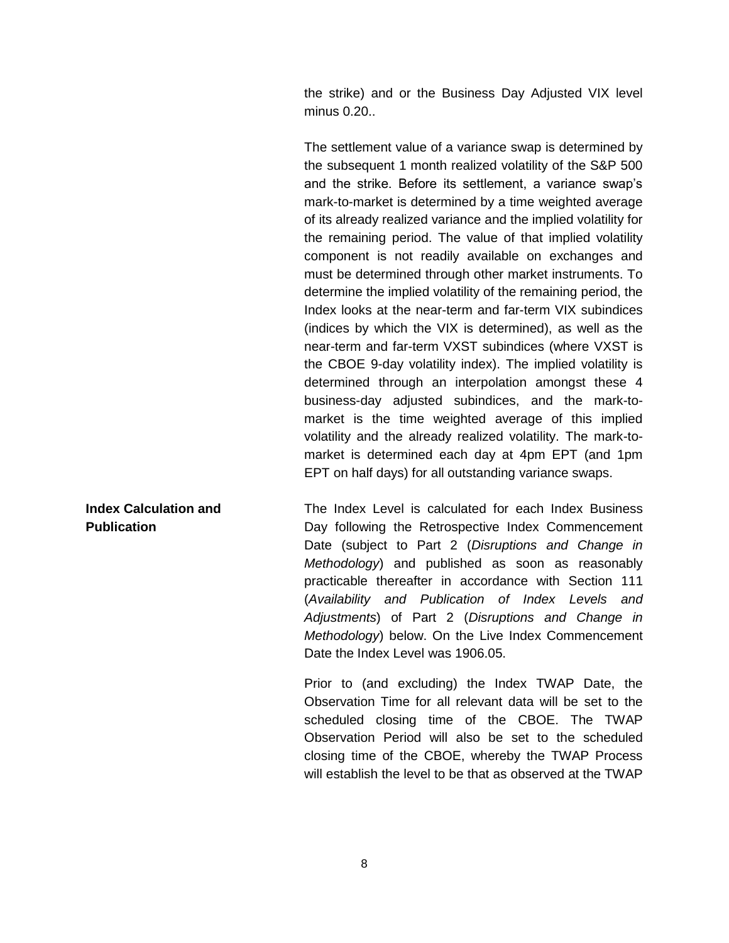the strike) and or the Business Day Adjusted VIX level minus 0.20..

The settlement value of a variance swap is determined by the subsequent 1 month realized volatility of the S&P 500 and the strike. Before its settlement, a variance swap's mark-to-market is determined by a time weighted average of its already realized variance and the implied volatility for the remaining period. The value of that implied volatility component is not readily available on exchanges and must be determined through other market instruments. To determine the implied volatility of the remaining period, the Index looks at the near-term and far-term VIX subindices (indices by which the VIX is determined), as well as the near-term and far-term VXST subindices (where VXST is the CBOE 9-day volatility index). The implied volatility is determined through an interpolation amongst these 4 business-day adjusted subindices, and the mark-tomarket is the time weighted average of this implied volatility and the already realized volatility. The mark-tomarket is determined each day at 4pm EPT (and 1pm EPT on half days) for all outstanding variance swaps.

The Index Level is calculated for each Index Business Day following the Retrospective Index Commencement Date (subject to Part 2 (*Disruptions and Change in Methodology*) and published as soon as reasonably practicable thereafter in accordance with Section [111](#page-30-1) (*Availability and Publication of Index Levels and Adjustments*) of Part 2 (*Disruptions and Change in Methodology*) below. On the Live Index Commencement Date the Index Level was 1906.05.

> Prior to (and excluding) the Index TWAP Date, the Observation Time for all relevant data will be set to the scheduled closing time of the CBOE. The TWAP Observation Period will also be set to the scheduled closing time of the CBOE, whereby the TWAP Process will establish the level to be that as observed at the TWAP

## **Index Calculation and Publication**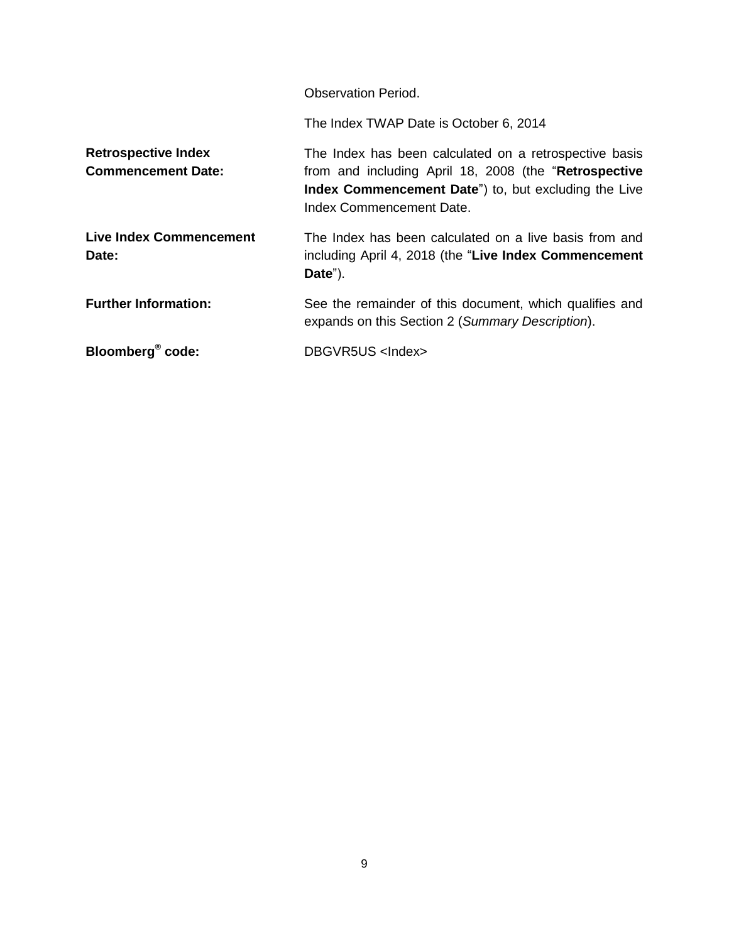Observation Period.

The Index TWAP Date is October 6, 2014

**Retrospective Index Commencement Date:** The Index has been calculated on a retrospective basis from and including April 18, 2008 (the "**Retrospective Index Commencement Date**") to, but excluding the Live Index Commencement Date.

**Live Index Commencement Date:** The Index has been calculated on a live basis from and including April 4, 2018 (the "**Live Index Commencement Date**").

**Further Information:** See the remainder of this document, which qualifies and expands on this Section [2](#page-6-2) (*Summary Description*).

**code:** DBGVR5US <Index>

**Bloomberg®**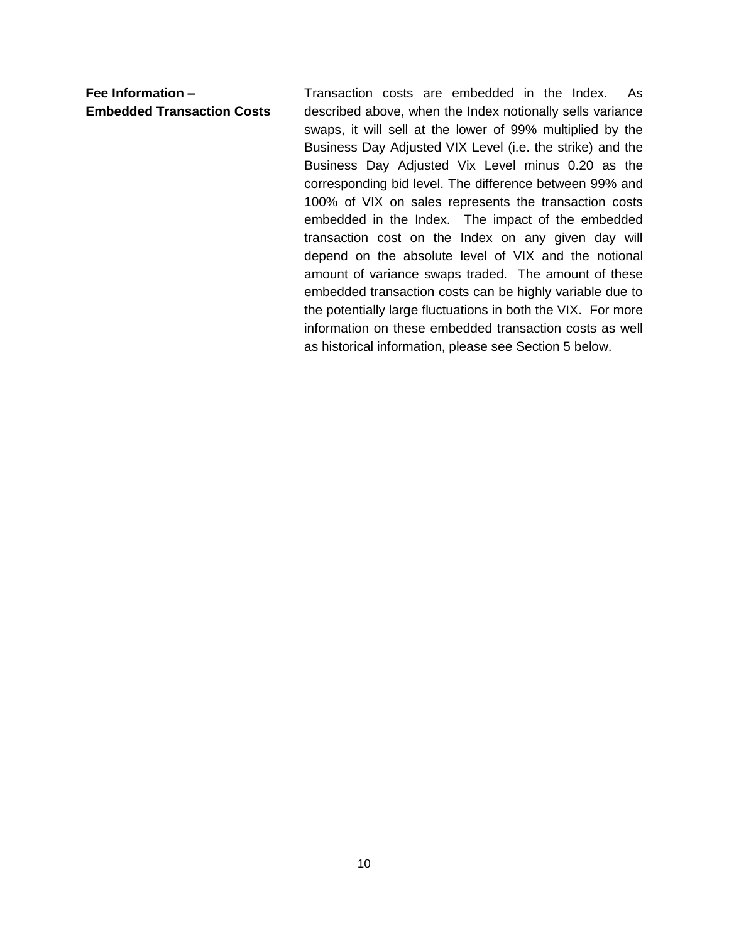**Fee Information – Embedded Transaction Costs** Transaction costs are embedded in the Index. As described above, when the Index notionally sells variance swaps, it will sell at the lower of 99% multiplied by the Business Day Adjusted VIX Level (i.e. the strike) and the Business Day Adjusted Vix Level minus 0.20 as the corresponding bid level. The difference between 99% and 100% of VIX on sales represents the transaction costs embedded in the Index. The impact of the embedded transaction cost on the Index on any given day will depend on the absolute level of VIX and the notional amount of variance swaps traded. The amount of these embedded transaction costs can be highly variable due to the potentially large fluctuations in both the VIX. For more information on these embedded transaction costs as well as historical information, please see Section 5 below.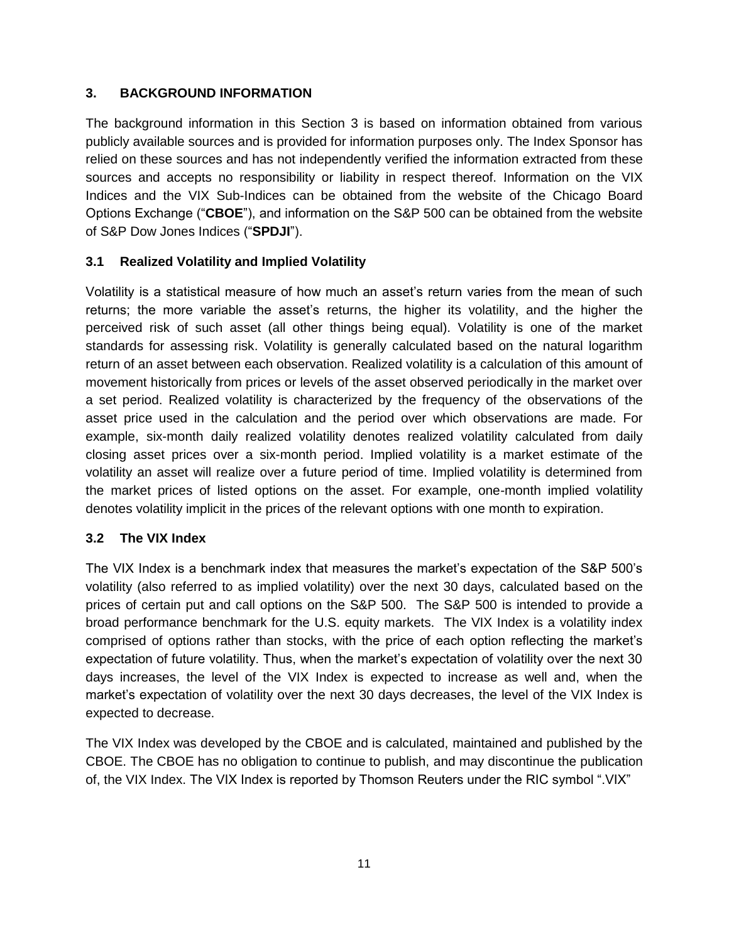## <span id="page-10-0"></span>**3. BACKGROUND INFORMATION**

The background information in this Section 3 is based on information obtained from various publicly available sources and is provided for information purposes only. The Index Sponsor has relied on these sources and has not independently verified the information extracted from these sources and accepts no responsibility or liability in respect thereof. Information on the VIX Indices and the VIX Sub-Indices can be obtained from the website of the Chicago Board Options Exchange ("**CBOE**"), and information on the S&P 500 can be obtained from the website of S&P Dow Jones Indices ("**SPDJI**").

## **3.1 Realized Volatility and Implied Volatility**

Volatility is a statistical measure of how much an asset's return varies from the mean of such returns; the more variable the asset's returns, the higher its volatility, and the higher the perceived risk of such asset (all other things being equal). Volatility is one of the market standards for assessing risk. Volatility is generally calculated based on the natural logarithm return of an asset between each observation. Realized volatility is a calculation of this amount of movement historically from prices or levels of the asset observed periodically in the market over a set period. Realized volatility is characterized by the frequency of the observations of the asset price used in the calculation and the period over which observations are made. For example, six-month daily realized volatility denotes realized volatility calculated from daily closing asset prices over a six-month period. Implied volatility is a market estimate of the volatility an asset will realize over a future period of time. Implied volatility is determined from the market prices of listed options on the asset. For example, one-month implied volatility denotes volatility implicit in the prices of the relevant options with one month to expiration.

### **3.2 The VIX Index**

The VIX Index is a benchmark index that measures the market's expectation of the S&P 500's volatility (also referred to as implied volatility) over the next 30 days, calculated based on the prices of certain put and call options on the S&P 500. The S&P 500 is intended to provide a broad performance benchmark for the U.S. equity markets. The VIX Index is a volatility index comprised of options rather than stocks, with the price of each option reflecting the market's expectation of future volatility. Thus, when the market's expectation of volatility over the next 30 days increases, the level of the VIX Index is expected to increase as well and, when the market's expectation of volatility over the next 30 days decreases, the level of the VIX Index is expected to decrease.

The VIX Index was developed by the CBOE and is calculated, maintained and published by the CBOE. The CBOE has no obligation to continue to publish, and may discontinue the publication of, the VIX Index. The VIX Index is reported by Thomson Reuters under the RIC symbol ".VIX"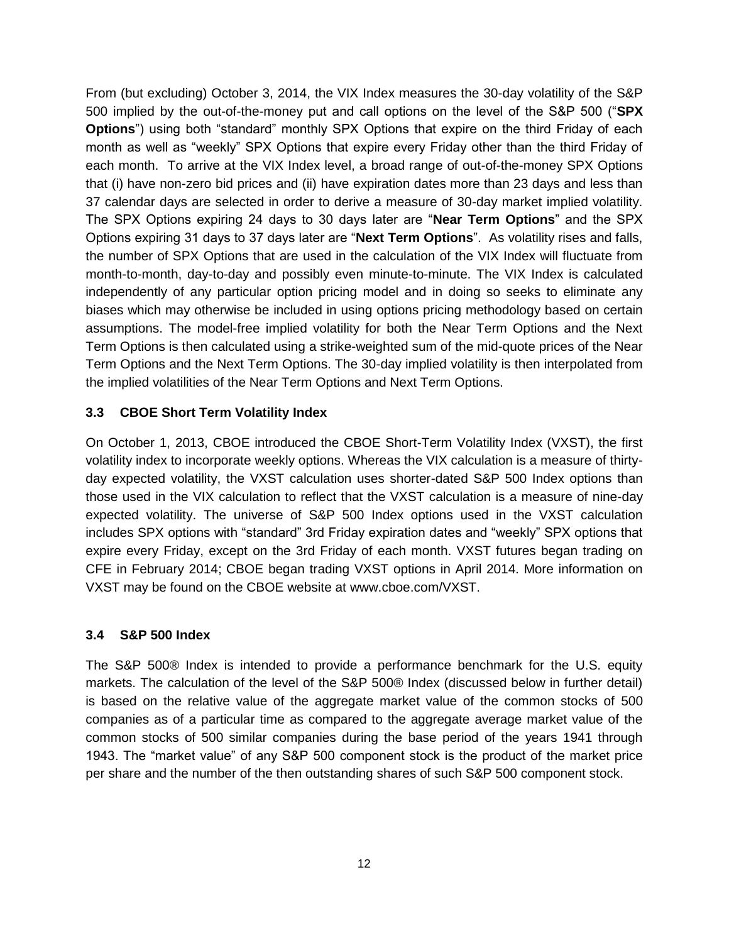From (but excluding) October 3, 2014, the VIX Index measures the 30-day volatility of the S&P 500 implied by the out-of-the-money put and call options on the level of the S&P 500 ("**SPX Options**") using both "standard" monthly SPX Options that expire on the third Friday of each month as well as "weekly" SPX Options that expire every Friday other than the third Friday of each month. To arrive at the VIX Index level, a broad range of out-of-the-money SPX Options that (i) have non-zero bid prices and (ii) have expiration dates more than 23 days and less than 37 calendar days are selected in order to derive a measure of 30-day market implied volatility. The SPX Options expiring 24 days to 30 days later are "**Near Term Options**" and the SPX Options expiring 31 days to 37 days later are "**Next Term Options**". As volatility rises and falls, the number of SPX Options that are used in the calculation of the VIX Index will fluctuate from month-to-month, day-to-day and possibly even minute-to-minute. The VIX Index is calculated independently of any particular option pricing model and in doing so seeks to eliminate any biases which may otherwise be included in using options pricing methodology based on certain assumptions. The model-free implied volatility for both the Near Term Options and the Next Term Options is then calculated using a strike-weighted sum of the mid-quote prices of the Near Term Options and the Next Term Options. The 30-day implied volatility is then interpolated from the implied volatilities of the Near Term Options and Next Term Options.

### **3.3 CBOE Short Term Volatility Index**

On October 1, 2013, CBOE introduced the CBOE Short-Term Volatility Index (VXST), the first volatility index to incorporate weekly options. Whereas the VIX calculation is a measure of thirtyday expected volatility, the VXST calculation uses shorter-dated S&P 500 Index options than those used in the VIX calculation to reflect that the VXST calculation is a measure of nine-day expected volatility. The universe of S&P 500 Index options used in the VXST calculation includes SPX options with "standard" 3rd Friday expiration dates and "weekly" SPX options that expire every Friday, except on the 3rd Friday of each month. VXST futures began trading on CFE in February 2014; CBOE began trading VXST options in April 2014. More information on VXST may be found on the CBOE website at www.cboe.com/VXST.

## **3.4 S&P 500 Index**

The S&P 500® Index is intended to provide a performance benchmark for the U.S. equity markets. The calculation of the level of the S&P 500® Index (discussed below in further detail) is based on the relative value of the aggregate market value of the common stocks of 500 companies as of a particular time as compared to the aggregate average market value of the common stocks of 500 similar companies during the base period of the years 1941 through 1943. The "market value" of any S&P 500 component stock is the product of the market price per share and the number of the then outstanding shares of such S&P 500 component stock.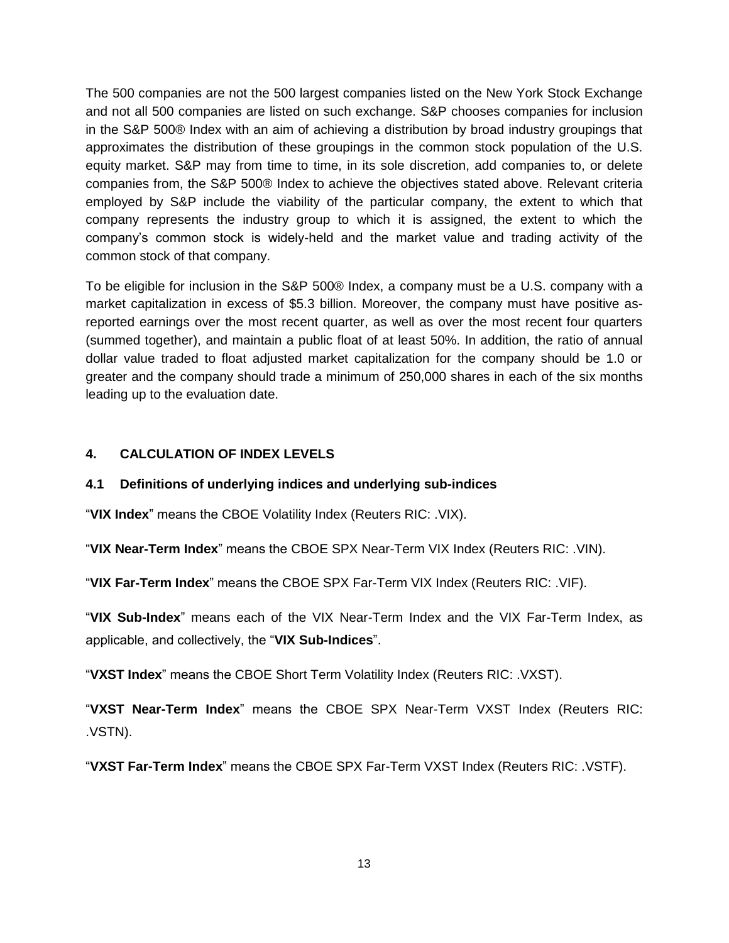The 500 companies are not the 500 largest companies listed on the New York Stock Exchange and not all 500 companies are listed on such exchange. S&P chooses companies for inclusion in the S&P 500® Index with an aim of achieving a distribution by broad industry groupings that approximates the distribution of these groupings in the common stock population of the U.S. equity market. S&P may from time to time, in its sole discretion, add companies to, or delete companies from, the S&P 500® Index to achieve the objectives stated above. Relevant criteria employed by S&P include the viability of the particular company, the extent to which that company represents the industry group to which it is assigned, the extent to which the company's common stock is widely-held and the market value and trading activity of the common stock of that company.

To be eligible for inclusion in the S&P 500® Index, a company must be a U.S. company with a market capitalization in excess of \$5.3 billion. Moreover, the company must have positive asreported earnings over the most recent quarter, as well as over the most recent four quarters (summed together), and maintain a public float of at least 50%. In addition, the ratio of annual dollar value traded to float adjusted market capitalization for the company should be 1.0 or greater and the company should trade a minimum of 250,000 shares in each of the six months leading up to the evaluation date.

## <span id="page-12-0"></span>**4. CALCULATION OF INDEX LEVELS**

## **4.1 Definitions of underlying indices and underlying sub-indices**

"**VIX Index**" means the CBOE Volatility Index (Reuters RIC: .VIX).

"**VIX Near-Term Index**" means the CBOE SPX Near-Term VIX Index (Reuters RIC: .VIN).

"**VIX Far-Term Index**" means the CBOE SPX Far-Term VIX Index (Reuters RIC: .VIF).

"**VIX Sub-Index**" means each of the VIX Near-Term Index and the VIX Far-Term Index, as applicable, and collectively, the "**VIX Sub-Indices**".

"**VXST Index**" means the CBOE Short Term Volatility Index (Reuters RIC: .VXST).

"**VXST Near-Term Index**" means the CBOE SPX Near-Term VXST Index (Reuters RIC: .VSTN).

"**VXST Far-Term Index**" means the CBOE SPX Far-Term VXST Index (Reuters RIC: .VSTF).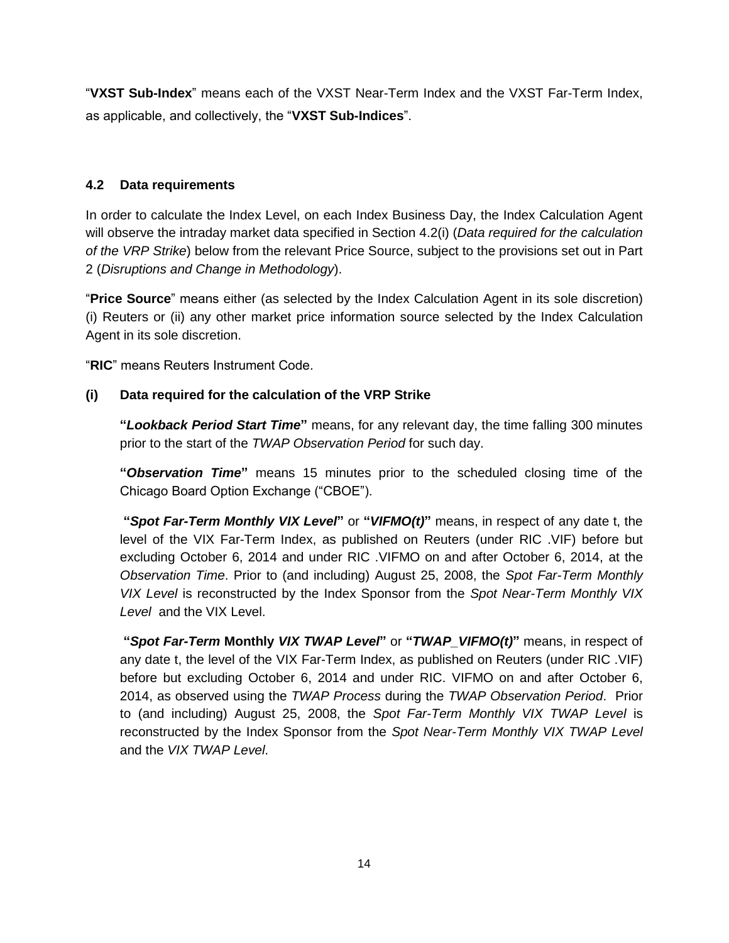"**VXST Sub-Index**" means each of the VXST Near-Term Index and the VXST Far-Term Index, as applicable, and collectively, the "**VXST Sub-Indices**".

## **4.2 Data requirements**

In order to calculate the Index Level, on each Index Business Day, the Index Calculation Agent will observe the intraday market data specified in Section [4.2\(i\)](#page-13-0) (*Data required for the calculation of the VRP Strike*) below from the relevant Price Source, subject to the provisions set out in Part 2 (*Disruptions and Change in Methodology*).

"**Price Source**" means either (as selected by the Index Calculation Agent in its sole discretion) (i) Reuters or (ii) any other market price information source selected by the Index Calculation Agent in its sole discretion.

"**RIC**" means Reuters Instrument Code.

# <span id="page-13-0"></span>**(i) Data required for the calculation of the VRP Strike**

**"***Lookback Period Start Time***"** means, for any relevant day, the time falling 300 minutes prior to the start of the *TWAP Observation Period* for such day.

**"***Observation Time***"** means 15 minutes prior to the scheduled closing time of the Chicago Board Option Exchange ("CBOE").

**"***Spot Far-Term Monthly VIX Level***"** or **"***VIFMO(t)***"** means, in respect of any date t, the level of the VIX Far-Term Index, as published on Reuters (under RIC .VIF) before but excluding October 6, 2014 and under RIC .VIFMO on and after October 6, 2014, at the *Observation Time*. Prior to (and including) August 25, 2008, the *Spot Far-Term Monthly VIX Level* is reconstructed by the Index Sponsor from the *Spot Near-Term Monthly VIX Level* and the VIX Level.

**"***Spot Far-Term* **Monthly** *VIX TWAP Level***"** or **"***TWAP\_VIFMO(t)***"** means, in respect of any date t, the level of the VIX Far-Term Index, as published on Reuters (under RIC .VIF) before but excluding October 6, 2014 and under RIC. VIFMO on and after October 6, 2014, as observed using the *TWAP Process* during the *TWAP Observation Period*. Prior to (and including) August 25, 2008, the *Spot Far-Term Monthly VIX TWAP Level* is reconstructed by the Index Sponsor from the *Spot Near-Term Monthly VIX TWAP Level*  and the *VIX TWAP Level*.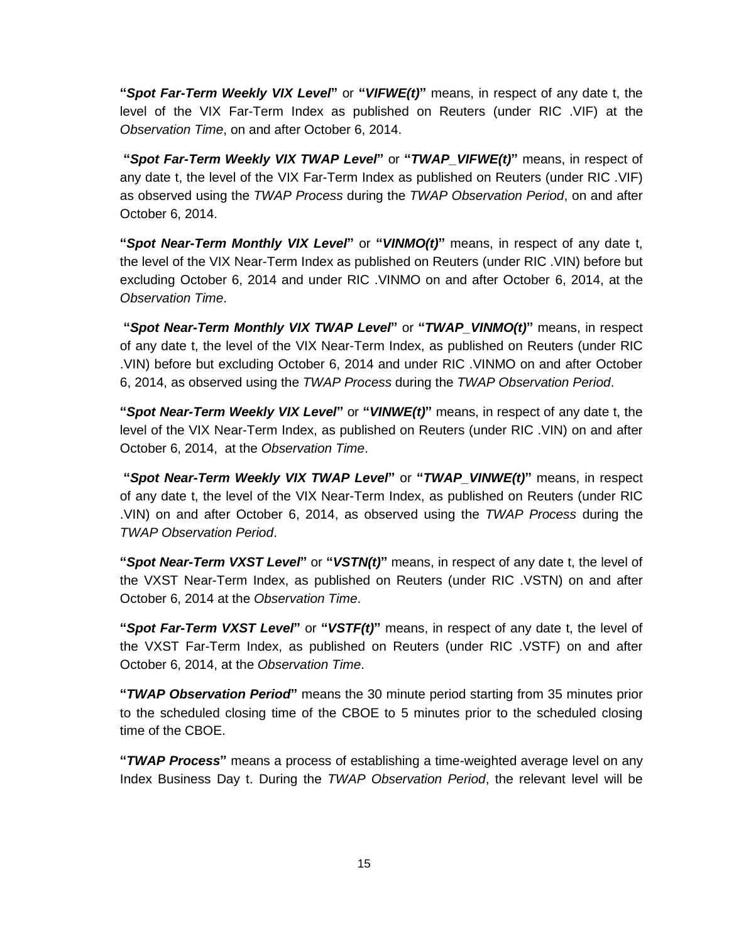**"***Spot Far-Term Weekly VIX Level***"** or **"***VIFWE(t)***"** means, in respect of any date t, the level of the VIX Far-Term Index as published on Reuters (under RIC .VIF) at the *Observation Time*, on and after October 6, 2014.

**"***Spot Far-Term Weekly VIX TWAP Level***"** or **"***TWAP\_VIFWE(t)***"** means, in respect of any date t, the level of the VIX Far-Term Index as published on Reuters (under RIC .VIF) as observed using the *TWAP Process* during the *TWAP Observation Period*, on and after October 6, 2014.

**"***Spot Near-Term Monthly VIX Level***"** or **"***VINMO(t)***"** means, in respect of any date t, the level of the VIX Near-Term Index as published on Reuters (under RIC .VIN) before but excluding October 6, 2014 and under RIC .VINMO on and after October 6, 2014, at the *Observation Time*.

**"***Spot Near-Term Monthly VIX TWAP Level***"** or **"***TWAP\_VINMO(t)***"** means, in respect of any date t, the level of the VIX Near-Term Index, as published on Reuters (under RIC .VIN) before but excluding October 6, 2014 and under RIC .VINMO on and after October 6, 2014, as observed using the *TWAP Process* during the *TWAP Observation Period*.

**"***Spot Near-Term Weekly VIX Level***"** or **"***VINWE(t)***"** means, in respect of any date t, the level of the VIX Near-Term Index, as published on Reuters (under RIC .VIN) on and after October 6, 2014, at the *Observation Time*.

**"***Spot Near-Term Weekly VIX TWAP Level***"** or **"***TWAP\_VINWE(t)***"** means, in respect of any date t, the level of the VIX Near-Term Index, as published on Reuters (under RIC .VIN) on and after October 6, 2014, as observed using the *TWAP Process* during the *TWAP Observation Period*.

**"***Spot Near-Term VXST Level***"** or **"***VSTN(t)***"** means, in respect of any date t, the level of the VXST Near-Term Index, as published on Reuters (under RIC .VSTN) on and after October 6, 2014 at the *Observation Time*.

**"***Spot Far-Term VXST Level***"** or **"***VSTF(t)***"** means, in respect of any date t, the level of the VXST Far-Term Index, as published on Reuters (under RIC .VSTF) on and after October 6, 2014, at the *Observation Time*.

**"***TWAP Observation Period***"** means the 30 minute period starting from 35 minutes prior to the scheduled closing time of the CBOE to 5 minutes prior to the scheduled closing time of the CBOE.

**"***TWAP Process***"** means a process of establishing a time-weighted average level on any Index Business Day t. During the *TWAP Observation Period*, the relevant level will be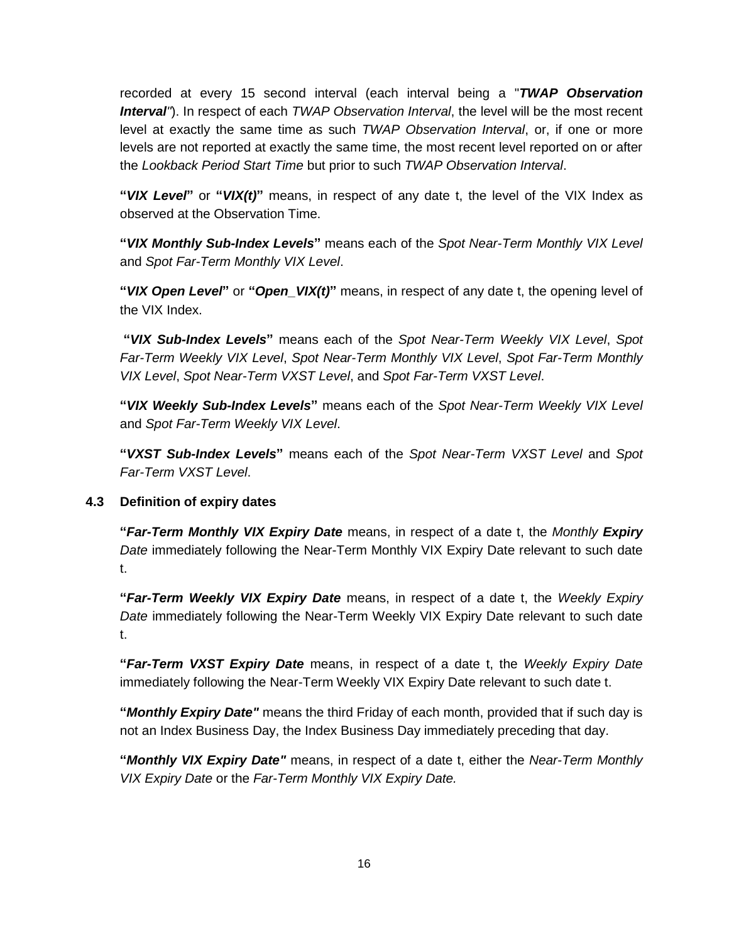recorded at every 15 second interval (each interval being a "*TWAP Observation Interval"*). In respect of each *TWAP Observation Interval*, the level will be the most recent level at exactly the same time as such *TWAP Observation Interval*, or, if one or more levels are not reported at exactly the same time, the most recent level reported on or after the *Lookback Period Start Time* but prior to such *TWAP Observation Interval*.

**"***VIX Level***"** or **"***VIX(t)***"** means, in respect of any date t, the level of the VIX Index as observed at the Observation Time.

**"***VIX Monthly Sub-Index Levels***"** means each of the *Spot Near-Term Monthly VIX Level* and *Spot Far-Term Monthly VIX Level*.

**"***VIX Open Level***"** or **"***Open\_VIX(t)***"** means, in respect of any date t, the opening level of the VIX Index.

**"***VIX Sub-Index Levels***"** means each of the *Spot Near-Term Weekly VIX Level*, *Spot Far-Term Weekly VIX Level*, *Spot Near-Term Monthly VIX Level*, *Spot Far-Term Monthly VIX Level*, *Spot Near-Term VXST Level*, and *Spot Far-Term VXST Level*.

**"***VIX Weekly Sub-Index Levels***"** means each of the *Spot Near-Term Weekly VIX Level* and *Spot Far-Term Weekly VIX Level*.

**"***VXST Sub-Index Levels***"** means each of the *Spot Near-Term VXST Level* and *Spot Far-Term VXST Level*.

### **4.3 Definition of expiry dates**

**"***Far-Term Monthly VIX Expiry Date* means, in respect of a date t, the *Monthly Expiry Date* immediately following the Near-Term Monthly VIX Expiry Date relevant to such date t.

**"***Far-Term Weekly VIX Expiry Date* means, in respect of a date t, the *Weekly Expiry Date* immediately following the Near-Term Weekly VIX Expiry Date relevant to such date t.

**"***Far-Term VXST Expiry Date* means, in respect of a date t, the *Weekly Expiry Date* immediately following the Near-Term Weekly VIX Expiry Date relevant to such date t.

**"***Monthly Expiry Date"* means the third Friday of each month, provided that if such day is not an Index Business Day, the Index Business Day immediately preceding that day.

**"***Monthly VIX Expiry Date"* means, in respect of a date t, either the *Near-Term Monthly VIX Expiry Date* or the *Far-Term Monthly VIX Expiry Date.*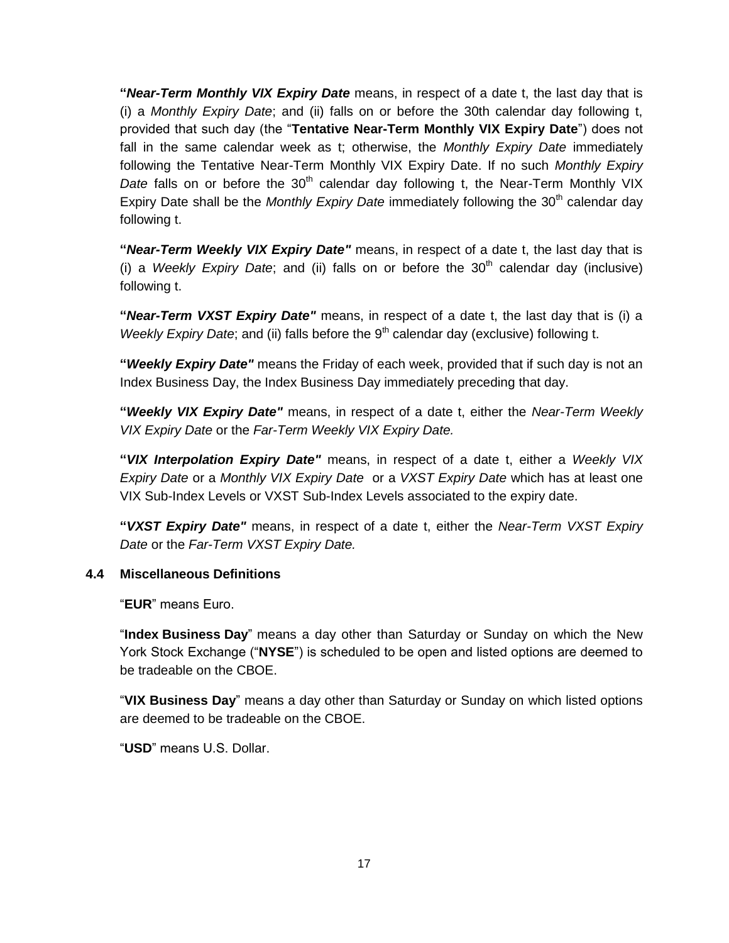**"***Near-Term Monthly VIX Expiry Date* means, in respect of a date t, the last day that is (i) a *Monthly Expiry Date*; and (ii) falls on or before the 30th calendar day following t, provided that such day (the "**Tentative Near-Term Monthly VIX Expiry Date**") does not fall in the same calendar week as t; otherwise, the *Monthly Expiry Date* immediately following the Tentative Near-Term Monthly VIX Expiry Date. If no such *Monthly Expiry Date* falls on or before the 30<sup>th</sup> calendar day following t, the Near-Term Monthly VIX Expiry Date shall be the *Monthly Expiry Date* immediately following the 30<sup>th</sup> calendar day following t.

**"***Near-Term Weekly VIX Expiry Date"* means, in respect of a date t, the last day that is (i) a *Weekly Expiry Date*; and (ii) falls on or before the 30<sup>th</sup> calendar day (inclusive) following t.

**"***Near-Term VXST Expiry Date"* means, in respect of a date t, the last day that is (i) a *Weekly Expiry Date*; and (ii) falls before the 9<sup>th</sup> calendar day (exclusive) following t.

**"***Weekly Expiry Date"* means the Friday of each week, provided that if such day is not an Index Business Day, the Index Business Day immediately preceding that day.

**"***Weekly VIX Expiry Date"* means, in respect of a date t, either the *Near-Term Weekly VIX Expiry Date* or the *Far-Term Weekly VIX Expiry Date.*

**"***VIX Interpolation Expiry Date"* means, in respect of a date t, either a *Weekly VIX Expiry Date* or a *Monthly VIX Expiry Date* or a *VXST Expiry Date* which has at least one VIX Sub-Index Levels or VXST Sub-Index Levels associated to the expiry date.

**"***VXST Expiry Date"* means, in respect of a date t, either the *Near-Term VXST Expiry Date* or the *Far-Term VXST Expiry Date.*

### **4.4 Miscellaneous Definitions**

"**EUR**" means Euro.

"**Index Business Day**" means a day other than Saturday or Sunday on which the New York Stock Exchange ("**NYSE**") is scheduled to be open and listed options are deemed to be tradeable on the CBOE.

"**VIX Business Day**" means a day other than Saturday or Sunday on which listed options are deemed to be tradeable on the CBOE.

"**USD**" means U.S. Dollar.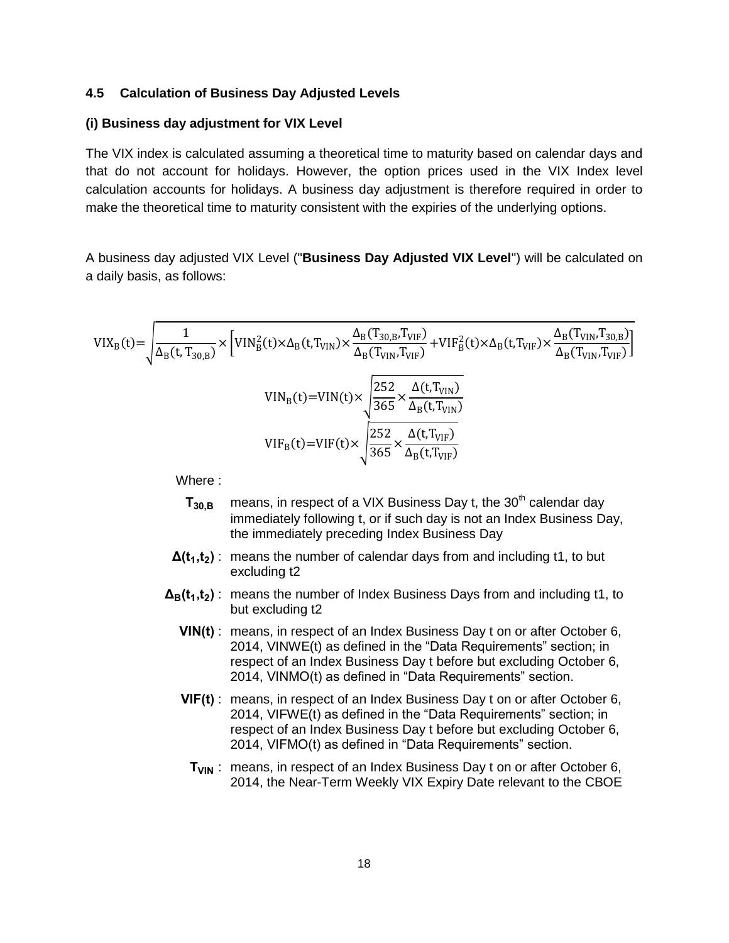#### **4.5 Calculation of Business Day Adjusted Levels**

#### **(i) Business day adjustment for VIX Level**

The VIX index is calculated assuming a theoretical time to maturity based on calendar days and that do not account for holidays. However, the option prices used in the VIX Index level calculation accounts for holidays. A business day adjustment is therefore required in order to make the theoretical time to maturity consistent with the expiries of the underlying options.

A business day adjusted VIX Level ("**Business Day Adjusted VIX Level**") will be calculated on a daily basis, as follows:

$$
VIX_{B}(t) = \sqrt{\frac{1}{\Delta_{B}(t, T_{30,B})} \times \left[ VIN_{B}^{2}(t) \times \Delta_{B}(t, T_{VIN}) \times \frac{\Delta_{B}(T_{30,B}, T_{VIF})}{\Delta_{B}(T_{VIN}, T_{VIF})} + VIF_{B}^{2}(t) \times \Delta_{B}(t, T_{VIF}) \times \frac{\Delta_{B}(T_{VIN}, T_{30,B})}{\Delta_{B}(T_{VIN}, T_{VIF})} \right]}
$$
  

$$
VIN_{B}(t) = VIN(t) \times \sqrt{\frac{252}{365} \times \frac{\Delta(t, T_{VIN})}{\Delta_{B}(t, T_{VIN})}}
$$
  

$$
VIF_{B}(t) = VIF(t) \times \sqrt{\frac{252}{365} \times \frac{\Delta(t, T_{VIF})}{\Delta_{B}(t, T_{VIF})}}
$$

Where :

- $T_{30,B}$  means, in respect of a VIX Business Day t, the 30<sup>th</sup> calendar day immediately following t, or if such day is not an Index Business Day, the immediately preceding Index Business Day
- $\Delta(t_1,t_2)$ : means the number of calendar days from and including t1, to but excluding t2
- **<sup>B</sup>(t ,t )** : means the number of Index Business Days from and including t1, to but excluding t2
	- **VIN(t)** : means, in respect of an Index Business Day t on or after October 6, 2014, VINWE(t) as defined in the "Data Requirements" section; in respect of an Index Business Day t before but excluding October 6, 2014, VINMO(t) as defined in "Data Requirements" section.
	- **VIF(t)** : means, in respect of an Index Business Day t on or after October 6, 2014, VIFWE(t) as defined in the "Data Requirements" section; in respect of an Index Business Day t before but excluding October 6, 2014, VIFMO(t) as defined in "Data Requirements" section.
		- **T<sub>VIN</sub>** : means, in respect of an Index Business Day t on or after October 6, 2014, the Near-Term Weekly VIX Expiry Date relevant to the CBOE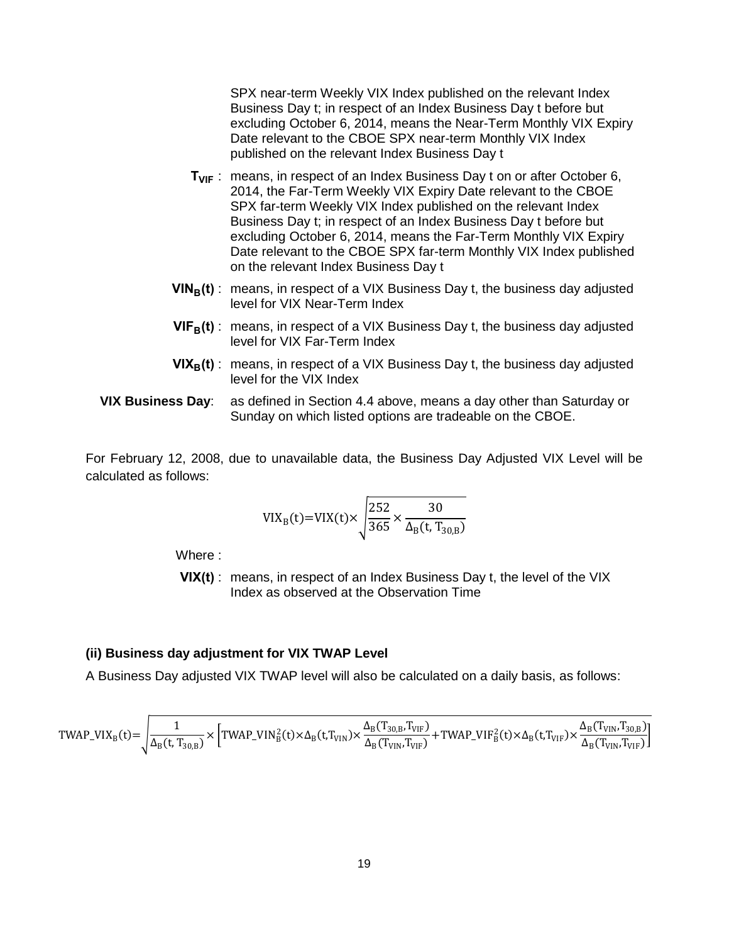SPX near-term Weekly VIX Index published on the relevant Index Business Day t; in respect of an Index Business Day t before but excluding October 6, 2014, means the Near-Term Monthly VIX Expiry Date relevant to the CBOE SPX near-term Monthly VIX Index published on the relevant Index Business Day t

- **T<sub>VIF</sub>**: means, in respect of an Index Business Day t on or after October 6, 2014, the Far-Term Weekly VIX Expiry Date relevant to the CBOE SPX far-term Weekly VIX Index published on the relevant Index Business Day t; in respect of an Index Business Day t before but excluding October 6, 2014, means the Far-Term Monthly VIX Expiry Date relevant to the CBOE SPX far-term Monthly VIX Index published on the relevant Index Business Day t
- **VIN<sub>B</sub>(t)** : means, in respect of a VIX Business Day t, the business day adjusted level for VIX Near-Term Index
- **VIFB(t)** : means, in respect of a VIX Business Day t, the business day adjusted level for VIX Far-Term Index
- **VIX<sub>B</sub>(t)**: means, in respect of a VIX Business Day t, the business day adjusted level for the VIX Index
- **VIX Business Day**: as defined in Section 4.4 above, means a day other than Saturday or Sunday on which listed options are tradeable on the CBOE.

For February 12, 2008, due to unavailable data, the Business Day Adjusted VIX Level will be calculated as follows:

$$
VIX_{B}(t)=VIX(t)\times\sqrt{\frac{252}{365}\times\frac{30}{\Delta_{B}(t, T_{30,B})}}
$$

Where :

**VIX(t)** : means, in respect of an Index Business Day t, the level of the VIX Index as observed at the Observation Time

#### **(ii) Business day adjustment for VIX TWAP Level**

A Business Day adjusted VIX TWAP level will also be calculated on a daily basis, as follows:

$$
TWAP\_VIX_B(t) = \sqrt{\frac{1}{\Delta_B(t, T_{30,B})} \times \left[ TWAP\_VIN_B^2(t) \times \Delta_B(t, T_{VIN}) \times \frac{\Delta_B(T_{30,B}, T_{VIF})}{\Delta_B(T_{VIN}, T_{VIF})} + TWAP\_VIF_B^2(t) \times \Delta_B(t, T_{VIF}) \times \frac{\Delta_B(T_{VIN}, T_{30,B})}{\Delta_B(T_{VIN}, T_{VIF})} \right]}
$$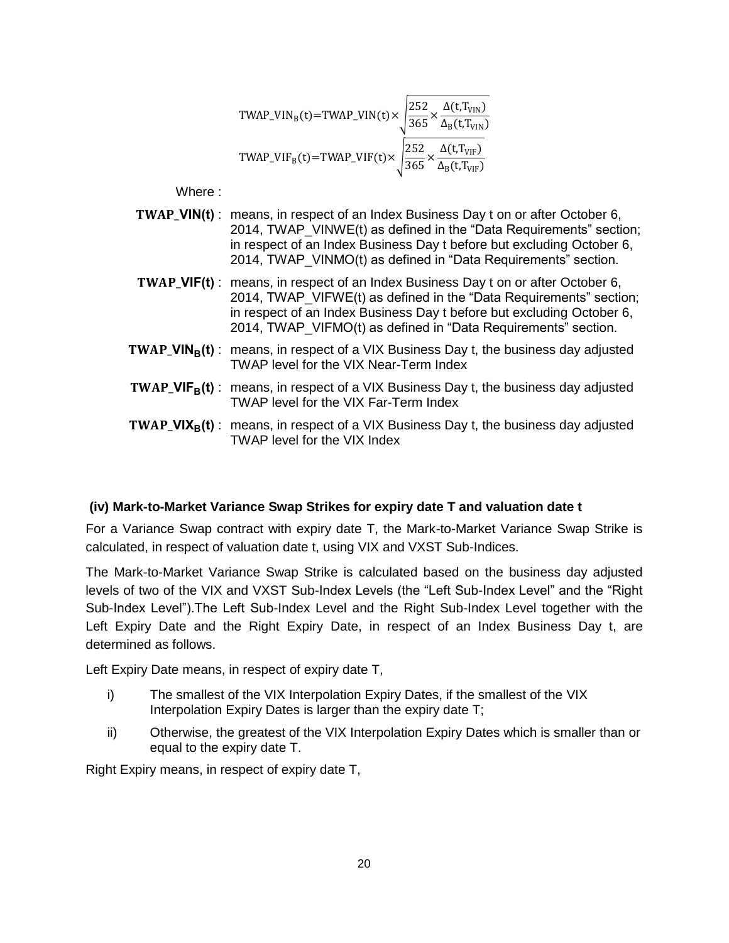$$
TWAP\_VIN_B(t) = TWAP\_VIN(t) \times \sqrt{\frac{252}{365} \times \frac{\Delta(t, T_{VIN})}{\Delta_B(t, T_{VIN})}}
$$
  
\n
$$
TWAP\_VIF_B(t) = TWAP\_VIF(t) \times \sqrt{\frac{252}{365} \times \frac{\Delta(t, T_{VIF})}{\Delta_B(t, T_{VIF})}}
$$

Where :

- **VIN(t)** : means, in respect of an Index Business Day t on or after October 6, 2014, TWAP VINWE(t) as defined in the "Data Requirements" section; in respect of an Index Business Day t before but excluding October 6, 2014, TWAP\_VINMO(t) as defined in "Data Requirements" section.
- **VIF(t)** : means, in respect of an Index Business Day t on or after October 6, 2014, TWAP\_VIFWE(t) as defined in the "Data Requirements" section; in respect of an Index Business Day t before but excluding October 6, 2014, TWAP\_VIFMO(t) as defined in "Data Requirements" section.
- **TWAP VIN<sub>B</sub>(t)**: means, in respect of a VIX Business Day t, the business day adjusted TWAP level for the VIX Near-Term Index
- **TWAP VIF<sub>B</sub>(t)**: means, in respect of a VIX Business Day t, the business day adjusted TWAP level for the VIX Far-Term Index
- **TWAP\_VIX<sub>B</sub>(t)**: means, in respect of a VIX Business Day t, the business day adjusted TWAP level for the VIX Index

### **(iv) Mark-to-Market Variance Swap Strikes for expiry date T and valuation date t**

For a Variance Swap contract with expiry date T, the Mark-to-Market Variance Swap Strike is calculated, in respect of valuation date t, using VIX and VXST Sub-Indices.

The Mark-to-Market Variance Swap Strike is calculated based on the business day adjusted levels of two of the VIX and VXST Sub-Index Levels (the "Left Sub-Index Level" and the "Right Sub-Index Level").The Left Sub-Index Level and the Right Sub-Index Level together with the Left Expiry Date and the Right Expiry Date, in respect of an Index Business Day t, are determined as follows.

Left Expiry Date means, in respect of expiry date T,

- i) The smallest of the VIX Interpolation Expiry Dates, if the smallest of the VIX Interpolation Expiry Dates is larger than the expiry date T;
- ii) Otherwise, the greatest of the VIX Interpolation Expiry Dates which is smaller than or equal to the expiry date T.

Right Expiry means, in respect of expiry date T,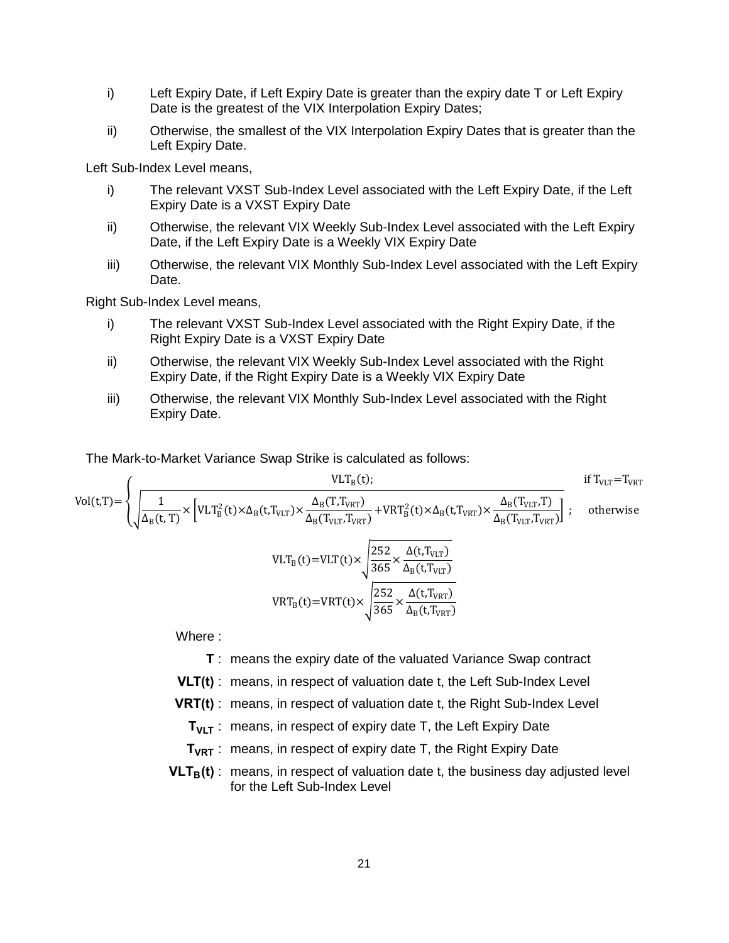- i) Left Expiry Date, if Left Expiry Date is greater than the expiry date T or Left Expiry Date is the greatest of the VIX Interpolation Expiry Dates;
- ii) Otherwise, the smallest of the VIX Interpolation Expiry Dates that is greater than the Left Expiry Date.

Left Sub-Index Level means,

- i) The relevant VXST Sub-Index Level associated with the Left Expiry Date, if the Left Expiry Date is a VXST Expiry Date
- ii) Otherwise, the relevant VIX Weekly Sub-Index Level associated with the Left Expiry Date, if the Left Expiry Date is a Weekly VIX Expiry Date
- iii) Otherwise, the relevant VIX Monthly Sub-Index Level associated with the Left Expiry Date.

Right Sub-Index Level means,

- i) The relevant VXST Sub-Index Level associated with the Right Expiry Date, if the Right Expiry Date is a VXST Expiry Date
- ii) Otherwise, the relevant VIX Weekly Sub-Index Level associated with the Right Expiry Date, if the Right Expiry Date is a Weekly VIX Expiry Date
- iii) Otherwise, the relevant VIX Monthly Sub-Index Level associated with the Right Expiry Date.

The Mark-to-Market Variance Swap Strike is calculated as follows:

$$
Vol(t,T) = \begin{cases} \n\frac{VLT_B(t)}{\Delta_B(t,T)} & \text{if } T_{VLT} = T_{VRT} \\
\sqrt{\frac{1}{\Delta_B(t,T)}} \times \left[ VLT_B^2(t) \times \Delta_B(t,T_{VLT}) \times \frac{\Delta_B(T,T_{VRT})}{\Delta_B(T_{VLT},T_{VRT})} + VRT_B^2(t) \times \Delta_B(t,T_{VRT}) \times \frac{\Delta_B(T_{VLT},T)}{\Delta_B(T_{VLT},T_{VRT})} \right]; & \text{otherwise} \\
\frac{VLT_B(t)}{\Delta_B(t,T_{VLT})} & & \text{if } T_{VLT} = T_{VRT} \\
\frac{252}{\Delta_B(t,T_{VLT})} & & \text{if } T_{VLT} = T_{VRT} \\
\frac{252}{\Delta_B(t,T_{VLT})} & & \text{if } T_{VLT} = T_{VRT} \\
\frac{252}{\Delta_B(t,T_{VLT})} & & \text{if } T_{VLT} = T_{VRT} \\
\frac{252}{\Delta_B(t,T_{VRT})} & & \text{if } T_{VLT} = T_{VRT} \\
\frac{252}{\Delta_B(t,T_{VRT})} & & \text{if } T_{VLT} = T_{VRT} \\
\frac{252}{\Delta_B(t,T_{VRT})} & & \text{if } T_{VLT} = T_{VRT} \\
\frac{252}{\Delta_B(t,T_{VRT})} & & \text{if } T_{VLT} = T_{VRT} \\
\frac{252}{\Delta_B(t,T_{VRT})} & & \text{if } T_{VLT} = T_{VRT} \\
\frac{252}{\Delta_B(t,T_{VRT})} & & \text{if } T_{VLT} = T_{VRT} \\
\frac{252}{\Delta_B(t,T_{VRT})} & & \text{if } T_{VLT} = T_{VRT} \\
\frac{252}{\Delta_B(t,T_{VRT})} & & \text{if } T_{VLT} = T_{VRT} \\
\frac{252}{\Delta_B(t,T_{VLT})} & & \text{if } T_{VLT} = T_{VRT} \\
\frac{252}{\Delta_B(t,T_{VLT})} & & \text{if } T_{VLT} = T_{VRT} \\
\frac{252}{\Delta_B(t,T_{VLT})} & & \text{if } T_{VLT} = T_{VRT} \\
\frac{252}{\Delta_B(t,T_{VRT})} & & \text{if } T_{VLT} = T_{VRT} \\
\frac{252}{\Delta_B(t,T_{VRT})}
$$

Where :

- **T** : means the expiry date of the valuated Variance Swap contract
- **VLT(t)** : means, in respect of valuation date t, the Left Sub-Index Level
- **VRT(t)** : means, in respect of valuation date t, the Right Sub-Index Level
	- **T<sub>VLT</sub>** : means, in respect of expiry date T, the Left Expiry Date
	- **TVRT** : means, in respect of expiry date T, the Right Expiry Date
- $VLT<sub>B</sub>(t)$ : means, in respect of valuation date t, the business day adjusted level for the Left Sub-Index Level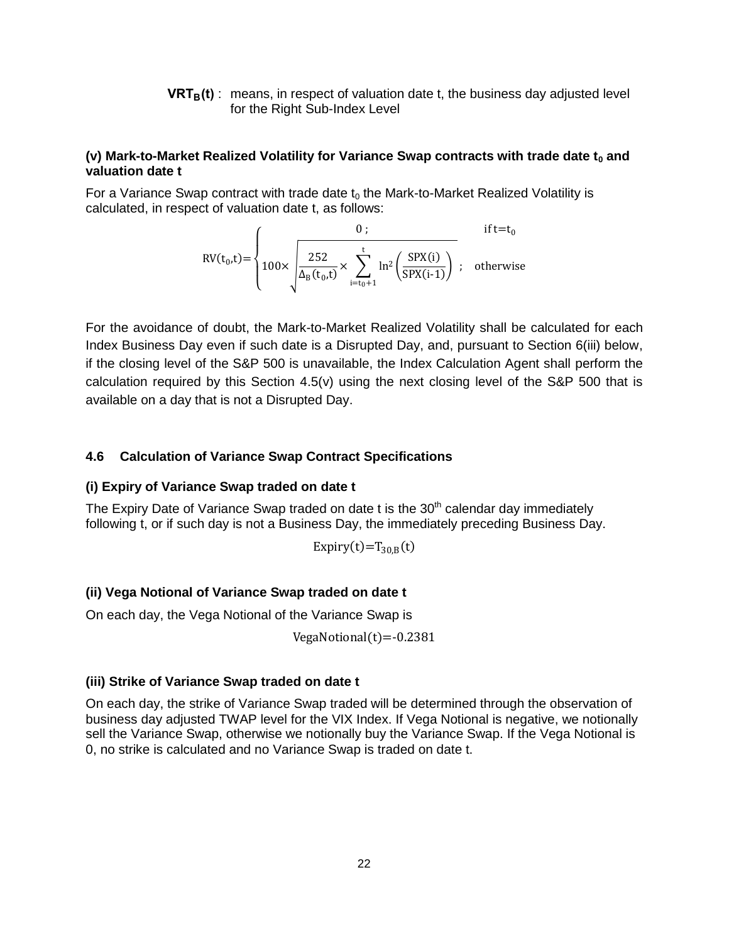**VRTB(t)** : means, in respect of valuation date t, the business day adjusted level for the Right Sub-Index Level

#### **(v) Mark-to-Market Realized Volatility for Variance Swap contracts with trade date t<sup>0</sup> and valuation date t**

For a Variance Swap contract with trade date  $t_0$  the Mark-to-Market Realized Volatility is calculated, in respect of valuation date t, as follows:

$$
RV(t_0,t) = \begin{cases} 0; & \text{if } t = t_0 \\ 100 \times \sqrt{\frac{252}{\Delta_B(t_0,t)} \times \sum_{i=t_0+1}^t \ln^2 \left(\frac{SPX(i)}{SPX(i-1)}\right)}; & \text{otherwise} \end{cases}
$$

For the avoidance of doubt, the Mark-to-Market Realized Volatility shall be calculated for each Index Business Day even if such date is a Disrupted Day, and, pursuant to Section 6(iii) below, if the closing level of the S&P 500 is unavailable, the Index Calculation Agent shall perform the calculation required by this Section 4.5(v) using the next closing level of the S&P 500 that is available on a day that is not a Disrupted Day.

### **4.6 Calculation of Variance Swap Contract Specifications**

#### **(i) Expiry of Variance Swap traded on date t**

The Expiry Date of Variance Swap traded on date  $t$  is the  $30<sup>th</sup>$  calendar day immediately following t, or if such day is not a Business Day, the immediately preceding Business Day.

$$
Expiry(t)=T_{30,B}(t)
$$

### **(ii) Vega Notional of Variance Swap traded on date t**

On each day, the Vega Notional of the Variance Swap is

VegaNotional $(t) = -0.2381$ 

#### **(iii) Strike of Variance Swap traded on date t**

On each day, the strike of Variance Swap traded will be determined through the observation of business day adjusted TWAP level for the VIX Index. If Vega Notional is negative, we notionally sell the Variance Swap, otherwise we notionally buy the Variance Swap. If the Vega Notional is 0, no strike is calculated and no Variance Swap is traded on date t.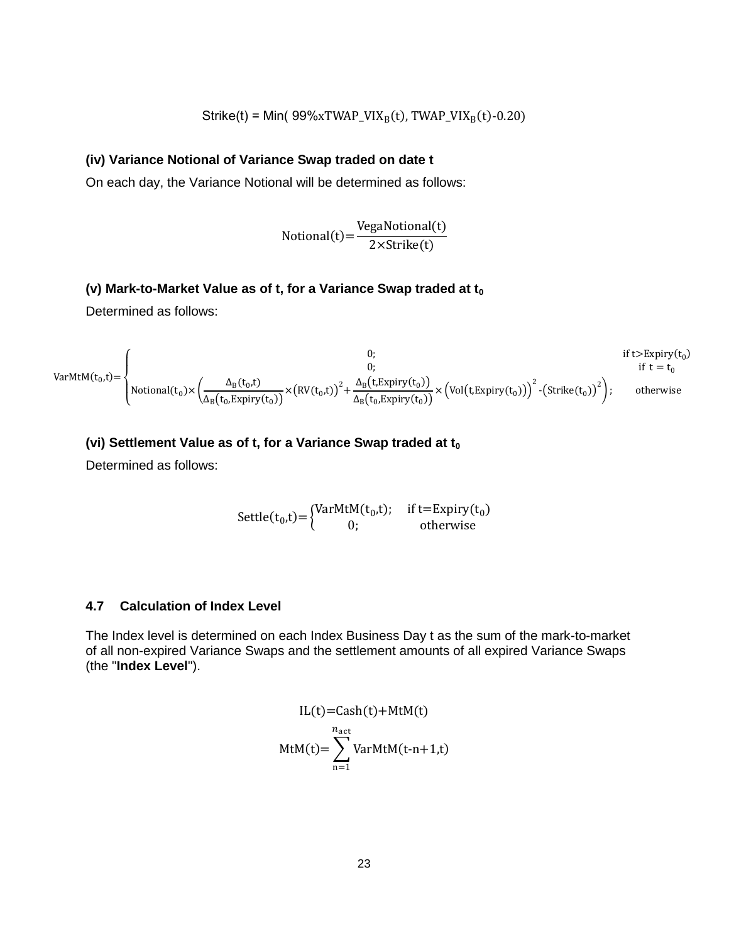$$
Strike(t) = Min( 99%xTWAP_VIX_B(t), TWAP_VIX_B(t)-0.20)
$$

### **(iv) Variance Notional of Variance Swap traded on date t**

On each day, the Variance Notional will be determined as follows:

$$
Notional(t) = \frac{VegaNotional(t)}{2 \times Strike(t)}
$$

## **(v) Mark-to-Market Value as of t, for a Variance Swap traded at t<sup>0</sup>**

Determined as follows:

$$
VarMtM(t_0,t) = \begin{cases}\n0; & \text{if } t > \text{Expiry}(t_0) \\
0; & \text{if } t = t_0\n\end{cases}
$$
\n
$$
VarMtM(t_0,t) = \begin{cases}\n0; & \text{if } t > \text{Expiry}(t_0) \\
\text{Notional}(t_0) \times \left(\frac{\Delta_B(t_0,t)}{\Delta_B(t_0, \text{Expiry}(t_0))}\right) \times \left(RV(t_0,t)\right)^2 + \frac{\Delta_B(t, \text{Expiry}(t_0))}{\Delta_B(t_0, \text{Expiry}(t_0))}\right) \times \left(Vol(t, \text{Expiry}(t_0))\right)^2 - \left(\text{Strike}(t_0)\right)^2\right); & \text{otherwise}\n\end{cases}
$$

## **(vi) Settlement Value as of t, for a Variance Swap traded at t<sup>0</sup>**

Determined as follows:

$$
Settle(t_0, t) = \begin{cases} VarMtM(t_0, t); & \text{if } t = Expiry(t_0) \\ 0; & \text{otherwise} \end{cases}
$$

### **4.7 Calculation of Index Level**

The Index level is determined on each Index Business Day t as the sum of the mark-to-market of all non-expired Variance Swaps and the settlement amounts of all expired Variance Swaps (the "**Index Level**").

$$
IL(t)=Cash(t)+MtM(t)
$$
  
\n
$$
n_{act}
$$
  
\n
$$
MtM(t)=\sum_{n=1}^{n_{act}}VarMtM(t-n+1,t)
$$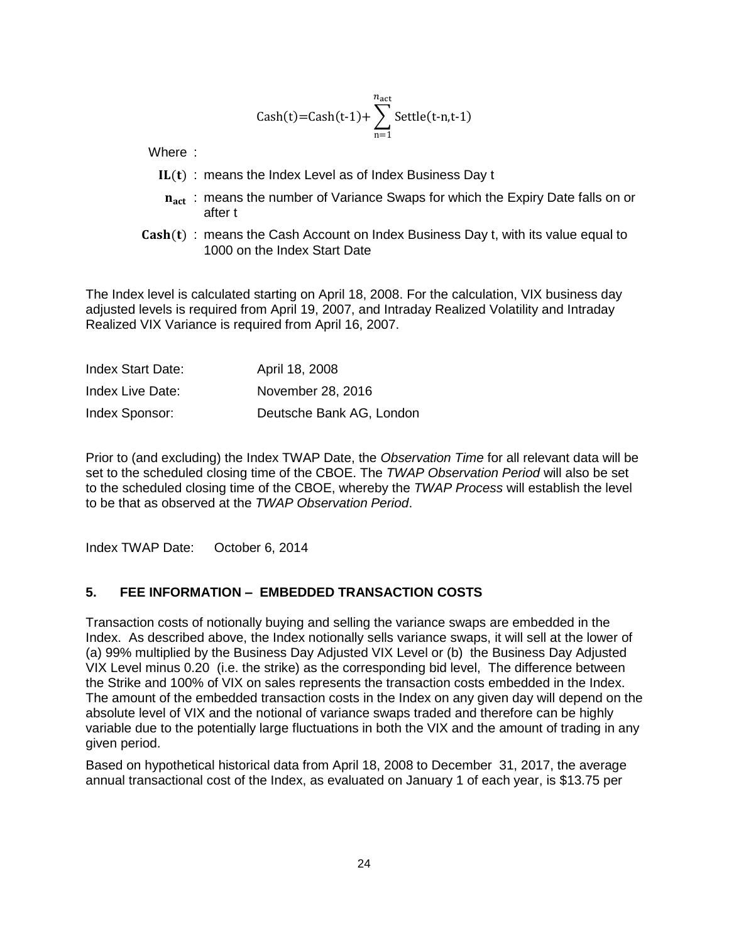$$
Cash(t)=Cash(t-1)+\sum_{n=1}^{n_{act}} Settle(t-n,t-1)
$$

Where :

- $IL(t)$ : means the Index Level as of Index Business Day t
- $\mathbf{n}_{\text{act}}$ : means the number of Variance Swaps for which the Expiry Date falls on or after t
- $Cash(t)$ : means the Cash Account on Index Business Day t, with its value equal to 1000 on the Index Start Date

The Index level is calculated starting on April 18, 2008. For the calculation, VIX business day adjusted levels is required from April 19, 2007, and Intraday Realized Volatility and Intraday Realized VIX Variance is required from April 16, 2007.

| <b>Index Start Date:</b> | April 18, 2008           |
|--------------------------|--------------------------|
| Index Live Date:         | November 28, 2016        |
| Index Sponsor:           | Deutsche Bank AG, London |

Prior to (and excluding) the Index TWAP Date, the *Observation Time* for all relevant data will be set to the scheduled closing time of the CBOE. The *TWAP Observation Period* will also be set to the scheduled closing time of the CBOE, whereby the *TWAP Process* will establish the level to be that as observed at the *TWAP Observation Period*.

Index TWAP Date: October 6, 2014

#### **5. FEE INFORMATION – EMBEDDED TRANSACTION COSTS**

Transaction costs of notionally buying and selling the variance swaps are embedded in the Index. As described above, the Index notionally sells variance swaps, it will sell at the lower of (a) 99% multiplied by the Business Day Adjusted VIX Level or (b) the Business Day Adjusted VIX Level minus 0.20 (i.e. the strike) as the corresponding bid level, The difference between the Strike and 100% of VIX on sales represents the transaction costs embedded in the Index. The amount of the embedded transaction costs in the Index on any given day will depend on the absolute level of VIX and the notional of variance swaps traded and therefore can be highly variable due to the potentially large fluctuations in both the VIX and the amount of trading in any given period.

Based on hypothetical historical data from April 18, 2008 to December 31, 2017, the average annual transactional cost of the Index, as evaluated on January 1 of each year, is \$13.75 per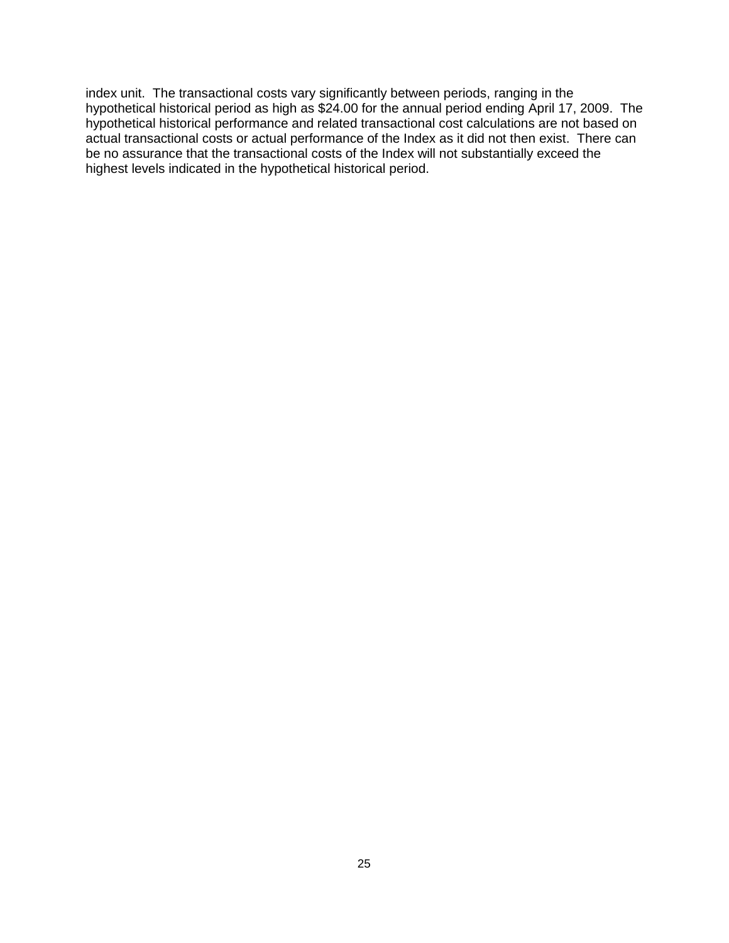index unit. The transactional costs vary significantly between periods, ranging in the hypothetical historical period as high as \$24.00 for the annual period ending April 17, 2009. The hypothetical historical performance and related transactional cost calculations are not based on actual transactional costs or actual performance of the Index as it did not then exist. There can be no assurance that the transactional costs of the Index will not substantially exceed the highest levels indicated in the hypothetical historical period.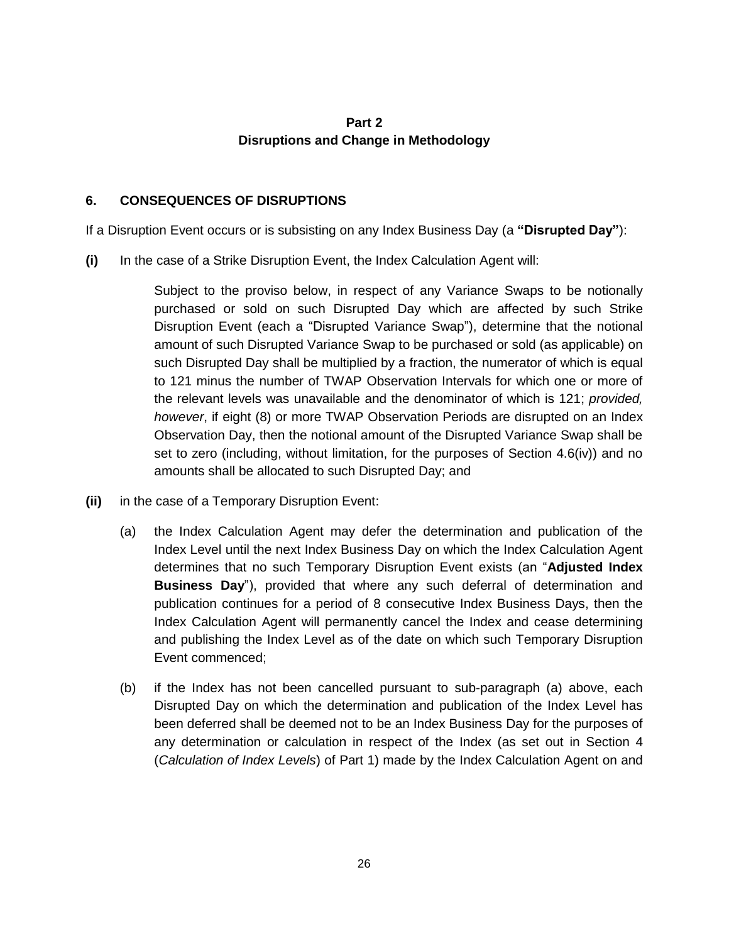## **Part 2 Disruptions and Change in Methodology**

### <span id="page-25-1"></span><span id="page-25-0"></span>**6. CONSEQUENCES OF DISRUPTIONS**

If a Disruption Event occurs or is subsisting on any Index Business Day (a **"Disrupted Day"**):

**(i)** In the case of a Strike Disruption Event, the Index Calculation Agent will:

Subject to the proviso below, in respect of any Variance Swaps to be notionally purchased or sold on such Disrupted Day which are affected by such Strike Disruption Event (each a "Disrupted Variance Swap"), determine that the notional amount of such Disrupted Variance Swap to be purchased or sold (as applicable) on such Disrupted Day shall be multiplied by a fraction, the numerator of which is equal to 121 minus the number of TWAP Observation Intervals for which one or more of the relevant levels was unavailable and the denominator of which is 121; *provided, however*, if eight (8) or more TWAP Observation Periods are disrupted on an Index Observation Day, then the notional amount of the Disrupted Variance Swap shall be set to zero (including, without limitation, for the purposes of Section 4.6(iv)) and no amounts shall be allocated to such Disrupted Day; and

- **(ii)** in the case of a Temporary Disruption Event:
	- (a) the Index Calculation Agent may defer the determination and publication of the Index Level until the next Index Business Day on which the Index Calculation Agent determines that no such Temporary Disruption Event exists (an "**Adjusted Index Business Day**"), provided that where any such deferral of determination and publication continues for a period of 8 consecutive Index Business Days, then the Index Calculation Agent will permanently cancel the Index and cease determining and publishing the Index Level as of the date on which such Temporary Disruption Event commenced;
	- (b) if the Index has not been cancelled pursuant to sub-paragraph (a) above, each Disrupted Day on which the determination and publication of the Index Level has been deferred shall be deemed not to be an Index Business Day for the purposes of any determination or calculation in respect of the Index (as set out in Section [4](#page-12-0) (*Calculation of Index Levels*) of Part 1) made by the Index Calculation Agent on and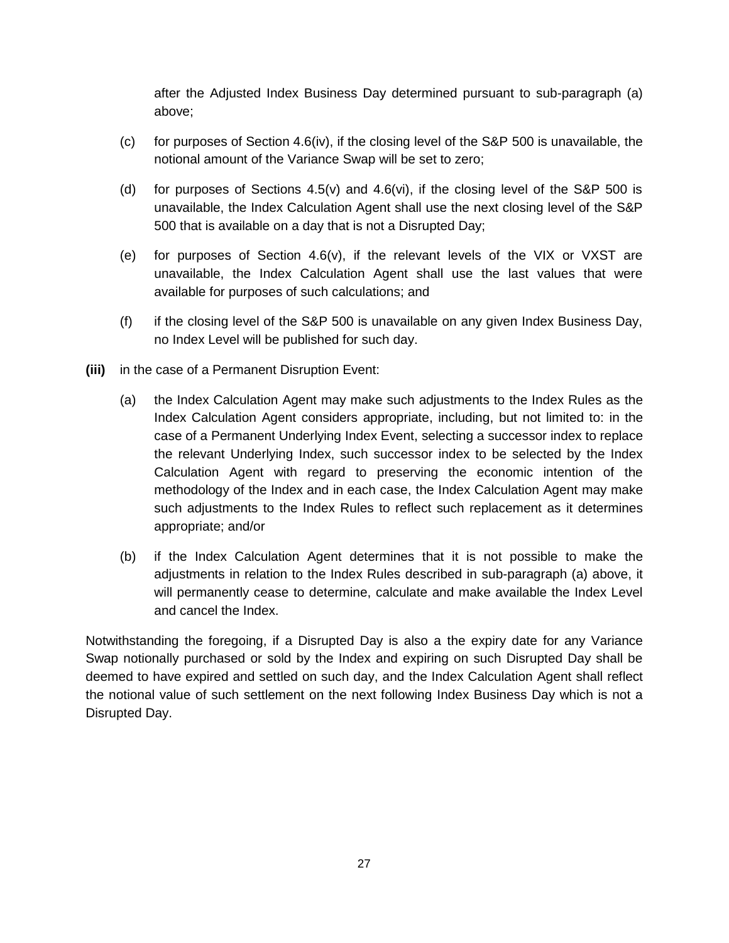after the Adjusted Index Business Day determined pursuant to sub-paragraph (a) above;

- (c) for purposes of Section 4.6(iv), if the closing level of the  $S\&P$  500 is unavailable, the notional amount of the Variance Swap will be set to zero;
- (d) for purposes of Sections  $4.5(v)$  and  $4.6(vi)$ , if the closing level of the S&P 500 is unavailable, the Index Calculation Agent shall use the next closing level of the S&P 500 that is available on a day that is not a Disrupted Day;
- (e) for purposes of Section 4.6(v), if the relevant levels of the VIX or VXST are unavailable, the Index Calculation Agent shall use the last values that were available for purposes of such calculations; and
- (f) if the closing level of the S&P 500 is unavailable on any given Index Business Day, no Index Level will be published for such day.
- **(iii)** in the case of a Permanent Disruption Event:
	- (a) the Index Calculation Agent may make such adjustments to the Index Rules as the Index Calculation Agent considers appropriate, including, but not limited to: in the case of a Permanent Underlying Index Event, selecting a successor index to replace the relevant Underlying Index, such successor index to be selected by the Index Calculation Agent with regard to preserving the economic intention of the methodology of the Index and in each case, the Index Calculation Agent may make such adjustments to the Index Rules to reflect such replacement as it determines appropriate; and/or
	- (b) if the Index Calculation Agent determines that it is not possible to make the adjustments in relation to the Index Rules described in sub-paragraph (a) above, it will permanently cease to determine, calculate and make available the Index Level and cancel the Index.

Notwithstanding the foregoing, if a Disrupted Day is also a the expiry date for any Variance Swap notionally purchased or sold by the Index and expiring on such Disrupted Day shall be deemed to have expired and settled on such day, and the Index Calculation Agent shall reflect the notional value of such settlement on the next following Index Business Day which is not a Disrupted Day.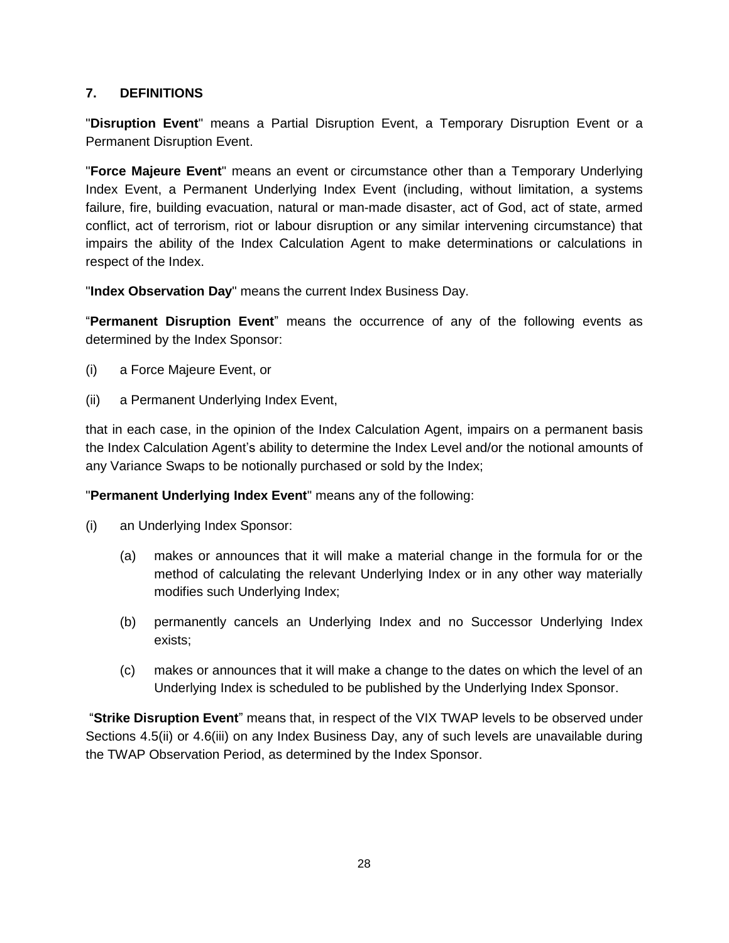## <span id="page-27-0"></span>**7. DEFINITIONS**

"**Disruption Event**" means a Partial Disruption Event, a Temporary Disruption Event or a Permanent Disruption Event.

"**Force Majeure Event**" means an event or circumstance other than a Temporary Underlying Index Event, a Permanent Underlying Index Event (including, without limitation, a systems failure, fire, building evacuation, natural or man-made disaster, act of God, act of state, armed conflict, act of terrorism, riot or labour disruption or any similar intervening circumstance) that impairs the ability of the Index Calculation Agent to make determinations or calculations in respect of the Index.

"**Index Observation Day**" means the current Index Business Day.

"**Permanent Disruption Event**" means the occurrence of any of the following events as determined by the Index Sponsor:

- (i) a Force Majeure Event, or
- (ii) a Permanent Underlying Index Event,

that in each case, in the opinion of the Index Calculation Agent, impairs on a permanent basis the Index Calculation Agent's ability to determine the Index Level and/or the notional amounts of any Variance Swaps to be notionally purchased or sold by the Index;

"**Permanent Underlying Index Event**" means any of the following:

- (i) an Underlying Index Sponsor:
	- (a) makes or announces that it will make a material change in the formula for or the method of calculating the relevant Underlying Index or in any other way materially modifies such Underlying Index;
	- (b) permanently cancels an Underlying Index and no Successor Underlying Index exists;
	- (c) makes or announces that it will make a change to the dates on which the level of an Underlying Index is scheduled to be published by the Underlying Index Sponsor.

"**Strike Disruption Event**" means that, in respect of the VIX TWAP levels to be observed under Sections 4.5(ii) or 4.6(iii) on any Index Business Day, any of such levels are unavailable during the TWAP Observation Period, as determined by the Index Sponsor.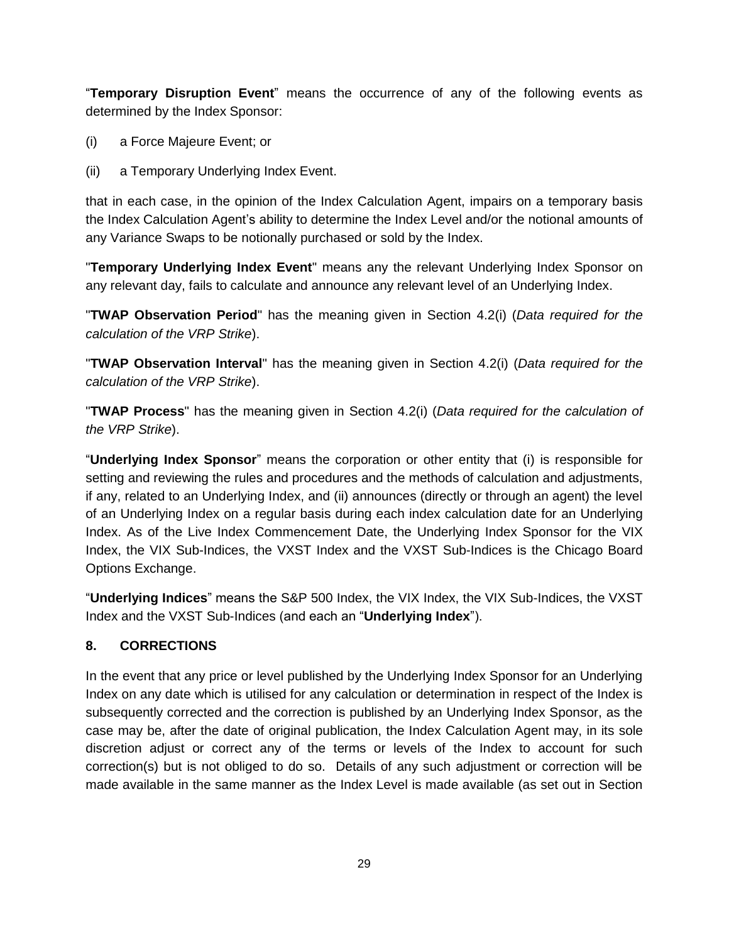"**Temporary Disruption Event**" means the occurrence of any of the following events as determined by the Index Sponsor:

- (i) a Force Majeure Event; or
- (ii) a Temporary Underlying Index Event.

that in each case, in the opinion of the Index Calculation Agent, impairs on a temporary basis the Index Calculation Agent's ability to determine the Index Level and/or the notional amounts of any Variance Swaps to be notionally purchased or sold by the Index.

"**Temporary Underlying Index Event**" means any the relevant Underlying Index Sponsor on any relevant day, fails to calculate and announce any relevant level of an Underlying Index.

"**TWAP Observation Period**" has the meaning given in Section [4.2\(i\)](#page-13-0) (*Data required for the calculation of the VRP Strike*).

"**TWAP Observation Interval**" has the meaning given in Section [4.2\(i\)](#page-13-0) (*Data required for the calculation of the VRP Strike*).

"**TWAP Process**" has the meaning given in Section [4.2\(i\)](#page-13-0) (*Data required for the calculation of the VRP Strike*).

"**Underlying Index Sponsor**" means the corporation or other entity that (i) is responsible for setting and reviewing the rules and procedures and the methods of calculation and adjustments, if any, related to an Underlying Index, and (ii) announces (directly or through an agent) the level of an Underlying Index on a regular basis during each index calculation date for an Underlying Index. As of the Live Index Commencement Date, the Underlying Index Sponsor for the VIX Index, the VIX Sub-Indices, the VXST Index and the VXST Sub-Indices is the Chicago Board Options Exchange.

"**Underlying Indices**" means the S&P 500 Index, the VIX Index, the VIX Sub-Indices, the VXST Index and the VXST Sub-Indices (and each an "**Underlying Index**").

## <span id="page-28-0"></span>**8. CORRECTIONS**

In the event that any price or level published by the Underlying Index Sponsor for an Underlying Index on any date which is utilised for any calculation or determination in respect of the Index is subsequently corrected and the correction is published by an Underlying Index Sponsor, as the case may be, after the date of original publication, the Index Calculation Agent may, in its sole discretion adjust or correct any of the terms or levels of the Index to account for such correction(s) but is not obliged to do so. Details of any such adjustment or correction will be made available in the same manner as the Index Level is made available (as set out in Section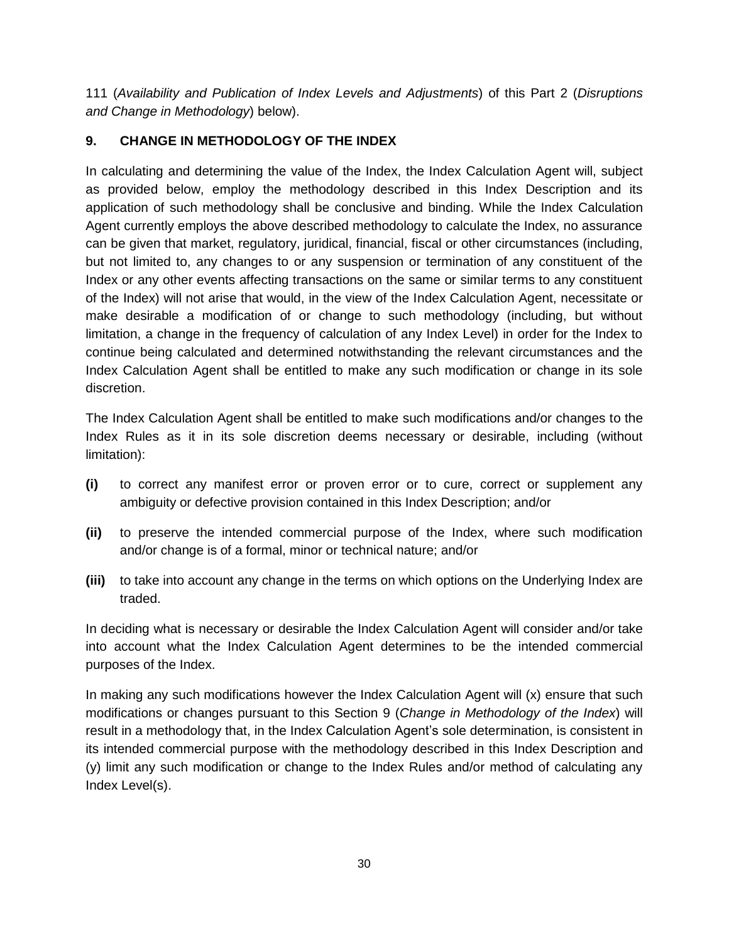[111](#page-30-1) (*Availability and Publication of Index Levels and Adjustments*) of this Part 2 (*Disruptions and Change in Methodology*) below).

# <span id="page-29-0"></span>**9. CHANGE IN METHODOLOGY OF THE INDEX**

In calculating and determining the value of the Index, the Index Calculation Agent will, subject as provided below, employ the methodology described in this Index Description and its application of such methodology shall be conclusive and binding. While the Index Calculation Agent currently employs the above described methodology to calculate the Index, no assurance can be given that market, regulatory, juridical, financial, fiscal or other circumstances (including, but not limited to, any changes to or any suspension or termination of any constituent of the Index or any other events affecting transactions on the same or similar terms to any constituent of the Index) will not arise that would, in the view of the Index Calculation Agent, necessitate or make desirable a modification of or change to such methodology (including, but without limitation, a change in the frequency of calculation of any Index Level) in order for the Index to continue being calculated and determined notwithstanding the relevant circumstances and the Index Calculation Agent shall be entitled to make any such modification or change in its sole discretion.

The Index Calculation Agent shall be entitled to make such modifications and/or changes to the Index Rules as it in its sole discretion deems necessary or desirable, including (without limitation):

- **(i)** to correct any manifest error or proven error or to cure, correct or supplement any ambiguity or defective provision contained in this Index Description; and/or
- **(ii)** to preserve the intended commercial purpose of the Index, where such modification and/or change is of a formal, minor or technical nature; and/or
- **(iii)** to take into account any change in the terms on which options on the Underlying Index are traded.

In deciding what is necessary or desirable the Index Calculation Agent will consider and/or take into account what the Index Calculation Agent determines to be the intended commercial purposes of the Index.

In making any such modifications however the Index Calculation Agent will (x) ensure that such modifications or changes pursuant to this Section 9 (*Change in Methodology of the Index*) will result in a methodology that, in the Index Calculation Agent's sole determination, is consistent in its intended commercial purpose with the methodology described in this Index Description and (y) limit any such modification or change to the Index Rules and/or method of calculating any Index Level(s).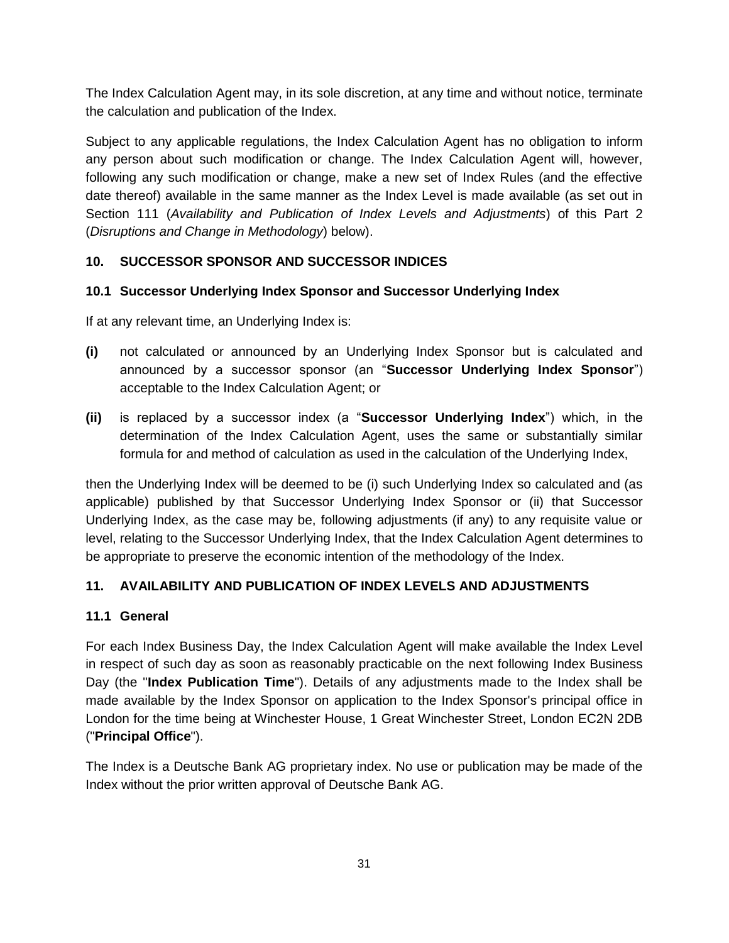The Index Calculation Agent may, in its sole discretion, at any time and without notice, terminate the calculation and publication of the Index.

Subject to any applicable regulations, the Index Calculation Agent has no obligation to inform any person about such modification or change. The Index Calculation Agent will, however, following any such modification or change, make a new set of Index Rules (and the effective date thereof) available in the same manner as the Index Level is made available (as set out in Section [111](#page-30-1) (*Availability and Publication of Index Levels and Adjustments*) of this Part 2 (*Disruptions and Change in Methodology*) below).

# <span id="page-30-0"></span>**10. SUCCESSOR SPONSOR AND SUCCESSOR INDICES**

## **10.1 Successor Underlying Index Sponsor and Successor Underlying Index**

If at any relevant time, an Underlying Index is:

- **(i)** not calculated or announced by an Underlying Index Sponsor but is calculated and announced by a successor sponsor (an "**Successor Underlying Index Sponsor**") acceptable to the Index Calculation Agent; or
- **(ii)** is replaced by a successor index (a "**Successor Underlying Index**") which, in the determination of the Index Calculation Agent, uses the same or substantially similar formula for and method of calculation as used in the calculation of the Underlying Index,

then the Underlying Index will be deemed to be (i) such Underlying Index so calculated and (as applicable) published by that Successor Underlying Index Sponsor or (ii) that Successor Underlying Index, as the case may be, following adjustments (if any) to any requisite value or level, relating to the Successor Underlying Index, that the Index Calculation Agent determines to be appropriate to preserve the economic intention of the methodology of the Index.

# <span id="page-30-1"></span>**11. AVAILABILITY AND PUBLICATION OF INDEX LEVELS AND ADJUSTMENTS**

## **11.1 General**

For each Index Business Day, the Index Calculation Agent will make available the Index Level in respect of such day as soon as reasonably practicable on the next following Index Business Day (the "**Index Publication Time**"). Details of any adjustments made to the Index shall be made available by the Index Sponsor on application to the Index Sponsor's principal office in London for the time being at Winchester House, 1 Great Winchester Street, London EC2N 2DB ("**Principal Office**").

The Index is a Deutsche Bank AG proprietary index. No use or publication may be made of the Index without the prior written approval of Deutsche Bank AG.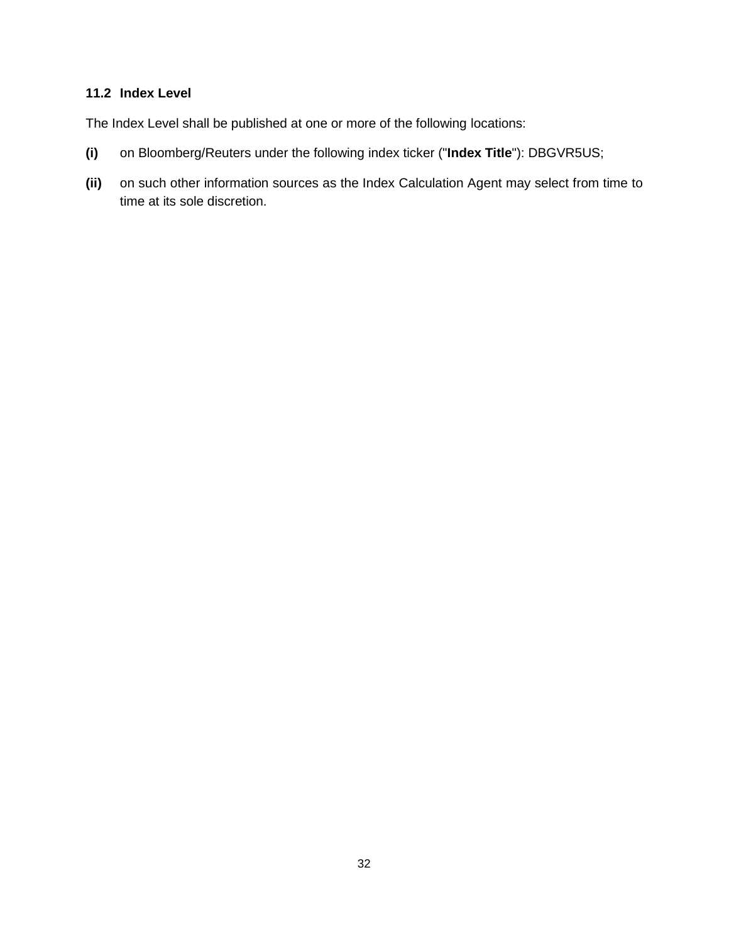## **11.2 Index Level**

The Index Level shall be published at one or more of the following locations:

- **(i)** on Bloomberg/Reuters under the following index ticker ("**Index Title**"): DBGVR5US;
- **(ii)** on such other information sources as the Index Calculation Agent may select from time to time at its sole discretion.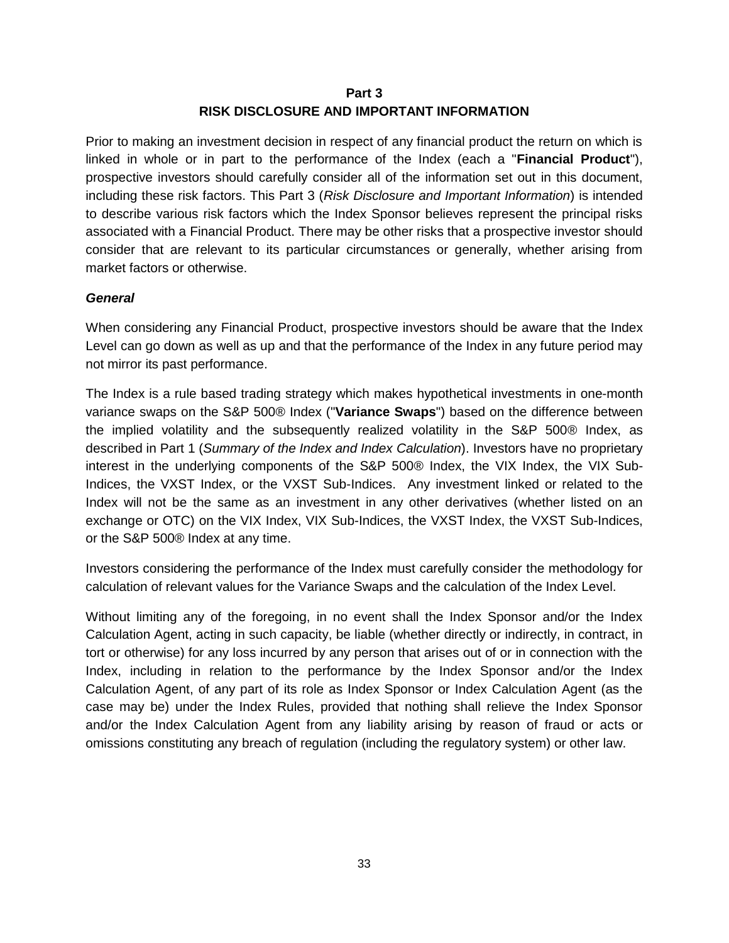## **Part 3 RISK DISCLOSURE AND IMPORTANT INFORMATION**

<span id="page-32-0"></span>Prior to making an investment decision in respect of any financial product the return on which is linked in whole or in part to the performance of the Index (each a "**Financial Product**"), prospective investors should carefully consider all of the information set out in this document, including these risk factors. This Part 3 (*Risk Disclosure and Important Information*) is intended to describe various risk factors which the Index Sponsor believes represent the principal risks associated with a Financial Product. There may be other risks that a prospective investor should consider that are relevant to its particular circumstances or generally, whether arising from market factors or otherwise.

### *General*

When considering any Financial Product, prospective investors should be aware that the Index Level can go down as well as up and that the performance of the Index in any future period may not mirror its past performance.

The Index is a rule based trading strategy which makes hypothetical investments in one-month variance swaps on the S&P 500® Index ("**Variance Swaps**") based on the difference between the implied volatility and the subsequently realized volatility in the S&P 500® Index, as described in Part 1 (*Summary of the Index and Index Calculation*). Investors have no proprietary interest in the underlying components of the S&P 500® Index, the VIX Index, the VIX Sub-Indices, the VXST Index, or the VXST Sub-Indices. Any investment linked or related to the Index will not be the same as an investment in any other derivatives (whether listed on an exchange or OTC) on the VIX Index, VIX Sub-Indices, the VXST Index, the VXST Sub-Indices, or the S&P 500® Index at any time.

Investors considering the performance of the Index must carefully consider the methodology for calculation of relevant values for the Variance Swaps and the calculation of the Index Level.

Without limiting any of the foregoing, in no event shall the Index Sponsor and/or the Index Calculation Agent, acting in such capacity, be liable (whether directly or indirectly, in contract, in tort or otherwise) for any loss incurred by any person that arises out of or in connection with the Index, including in relation to the performance by the Index Sponsor and/or the Index Calculation Agent, of any part of its role as Index Sponsor or Index Calculation Agent (as the case may be) under the Index Rules, provided that nothing shall relieve the Index Sponsor and/or the Index Calculation Agent from any liability arising by reason of fraud or acts or omissions constituting any breach of regulation (including the regulatory system) or other law.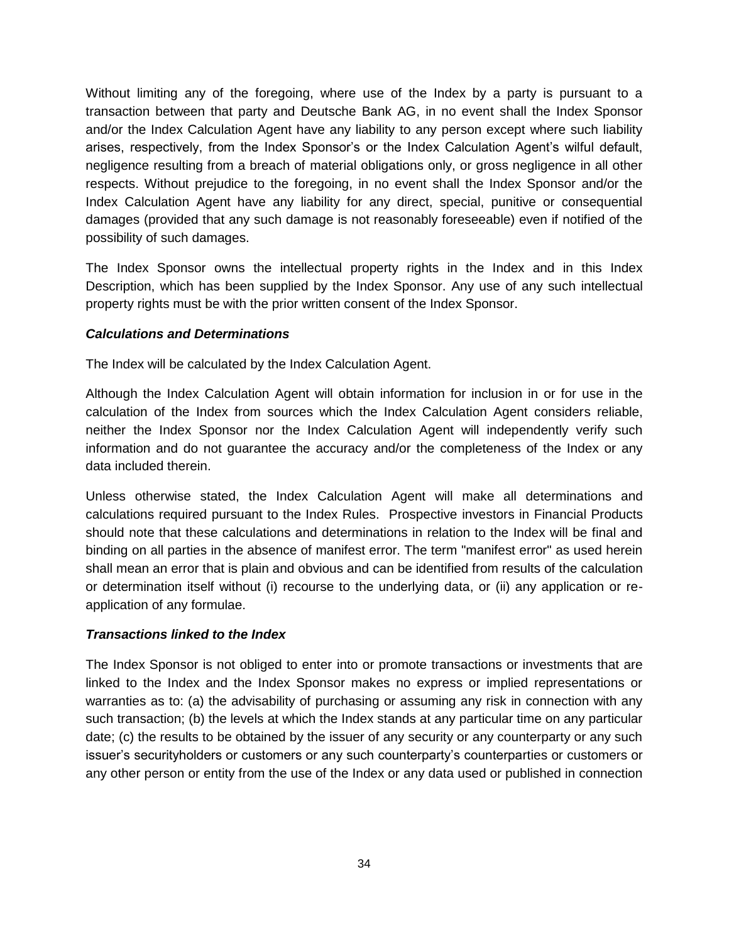Without limiting any of the foregoing, where use of the Index by a party is pursuant to a transaction between that party and Deutsche Bank AG, in no event shall the Index Sponsor and/or the Index Calculation Agent have any liability to any person except where such liability arises, respectively, from the Index Sponsor's or the Index Calculation Agent's wilful default, negligence resulting from a breach of material obligations only, or gross negligence in all other respects. Without prejudice to the foregoing, in no event shall the Index Sponsor and/or the Index Calculation Agent have any liability for any direct, special, punitive or consequential damages (provided that any such damage is not reasonably foreseeable) even if notified of the possibility of such damages.

The Index Sponsor owns the intellectual property rights in the Index and in this Index Description, which has been supplied by the Index Sponsor. Any use of any such intellectual property rights must be with the prior written consent of the Index Sponsor.

### *Calculations and Determinations*

The Index will be calculated by the Index Calculation Agent.

Although the Index Calculation Agent will obtain information for inclusion in or for use in the calculation of the Index from sources which the Index Calculation Agent considers reliable, neither the Index Sponsor nor the Index Calculation Agent will independently verify such information and do not guarantee the accuracy and/or the completeness of the Index or any data included therein.

Unless otherwise stated, the Index Calculation Agent will make all determinations and calculations required pursuant to the Index Rules. Prospective investors in Financial Products should note that these calculations and determinations in relation to the Index will be final and binding on all parties in the absence of manifest error. The term "manifest error" as used herein shall mean an error that is plain and obvious and can be identified from results of the calculation or determination itself without (i) recourse to the underlying data, or (ii) any application or reapplication of any formulae.

### *Transactions linked to the Index*

The Index Sponsor is not obliged to enter into or promote transactions or investments that are linked to the Index and the Index Sponsor makes no express or implied representations or warranties as to: (a) the advisability of purchasing or assuming any risk in connection with any such transaction; (b) the levels at which the Index stands at any particular time on any particular date; (c) the results to be obtained by the issuer of any security or any counterparty or any such issuer's securityholders or customers or any such counterparty's counterparties or customers or any other person or entity from the use of the Index or any data used or published in connection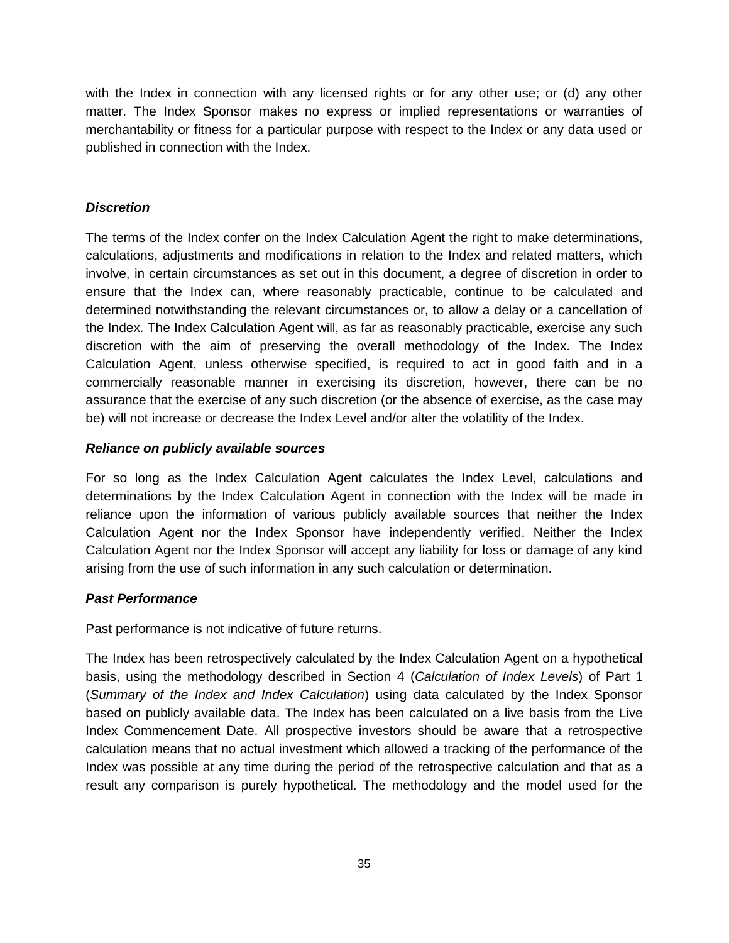with the Index in connection with any licensed rights or for any other use; or (d) any other matter. The Index Sponsor makes no express or implied representations or warranties of merchantability or fitness for a particular purpose with respect to the Index or any data used or published in connection with the Index.

### *Discretion*

The terms of the Index confer on the Index Calculation Agent the right to make determinations, calculations, adjustments and modifications in relation to the Index and related matters, which involve, in certain circumstances as set out in this document, a degree of discretion in order to ensure that the Index can, where reasonably practicable, continue to be calculated and determined notwithstanding the relevant circumstances or, to allow a delay or a cancellation of the Index. The Index Calculation Agent will, as far as reasonably practicable, exercise any such discretion with the aim of preserving the overall methodology of the Index. The Index Calculation Agent, unless otherwise specified, is required to act in good faith and in a commercially reasonable manner in exercising its discretion, however, there can be no assurance that the exercise of any such discretion (or the absence of exercise, as the case may be) will not increase or decrease the Index Level and/or alter the volatility of the Index.

### *Reliance on publicly available sources*

For so long as the Index Calculation Agent calculates the Index Level, calculations and determinations by the Index Calculation Agent in connection with the Index will be made in reliance upon the information of various publicly available sources that neither the Index Calculation Agent nor the Index Sponsor have independently verified. Neither the Index Calculation Agent nor the Index Sponsor will accept any liability for loss or damage of any kind arising from the use of such information in any such calculation or determination.

### *Past Performance*

Past performance is not indicative of future returns.

The Index has been retrospectively calculated by the Index Calculation Agent on a hypothetical basis, using the methodology described in Section [4](#page-12-0) (*Calculation of Index Levels*) of Part 1 (*Summary of the Index and Index Calculation*) using data calculated by the Index Sponsor based on publicly available data. The Index has been calculated on a live basis from the Live Index Commencement Date. All prospective investors should be aware that a retrospective calculation means that no actual investment which allowed a tracking of the performance of the Index was possible at any time during the period of the retrospective calculation and that as a result any comparison is purely hypothetical. The methodology and the model used for the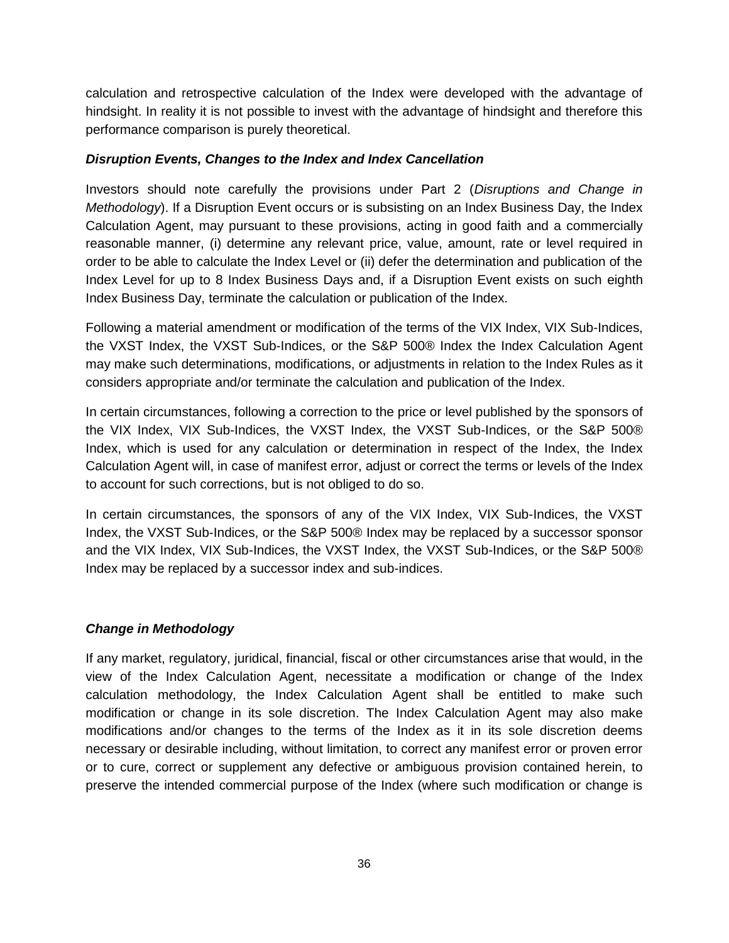calculation and retrospective calculation of the Index were developed with the advantage of hindsight. In reality it is not possible to invest with the advantage of hindsight and therefore this performance comparison is purely theoretical.

### *Disruption Events, Changes to the Index and Index Cancellation*

Investors should note carefully the provisions under Part 2 (*Disruptions and Change in Methodology*). If a Disruption Event occurs or is subsisting on an Index Business Day, the Index Calculation Agent, may pursuant to these provisions, acting in good faith and a commercially reasonable manner, (i) determine any relevant price, value, amount, rate or level required in order to be able to calculate the Index Level or (ii) defer the determination and publication of the Index Level for up to 8 Index Business Days and, if a Disruption Event exists on such eighth Index Business Day, terminate the calculation or publication of the Index.

Following a material amendment or modification of the terms of the VIX Index, VIX Sub-Indices, the VXST Index, the VXST Sub-Indices, or the S&P 500® Index the Index Calculation Agent may make such determinations, modifications, or adjustments in relation to the Index Rules as it considers appropriate and/or terminate the calculation and publication of the Index.

In certain circumstances, following a correction to the price or level published by the sponsors of the VIX Index, VIX Sub-Indices, the VXST Index, the VXST Sub-Indices, or the S&P 500® Index, which is used for any calculation or determination in respect of the Index, the Index Calculation Agent will, in case of manifest error, adjust or correct the terms or levels of the Index to account for such corrections, but is not obliged to do so.

In certain circumstances, the sponsors of any of the VIX Index, VIX Sub-Indices, the VXST Index, the VXST Sub-Indices, or the S&P 500® Index may be replaced by a successor sponsor and the VIX Index, VIX Sub-Indices, the VXST Index, the VXST Sub-Indices, or the S&P 500® Index may be replaced by a successor index and sub-indices.

### *Change in Methodology*

If any market, regulatory, juridical, financial, fiscal or other circumstances arise that would, in the view of the Index Calculation Agent, necessitate a modification or change of the Index calculation methodology, the Index Calculation Agent shall be entitled to make such modification or change in its sole discretion. The Index Calculation Agent may also make modifications and/or changes to the terms of the Index as it in its sole discretion deems necessary or desirable including, without limitation, to correct any manifest error or proven error or to cure, correct or supplement any defective or ambiguous provision contained herein, to preserve the intended commercial purpose of the Index (where such modification or change is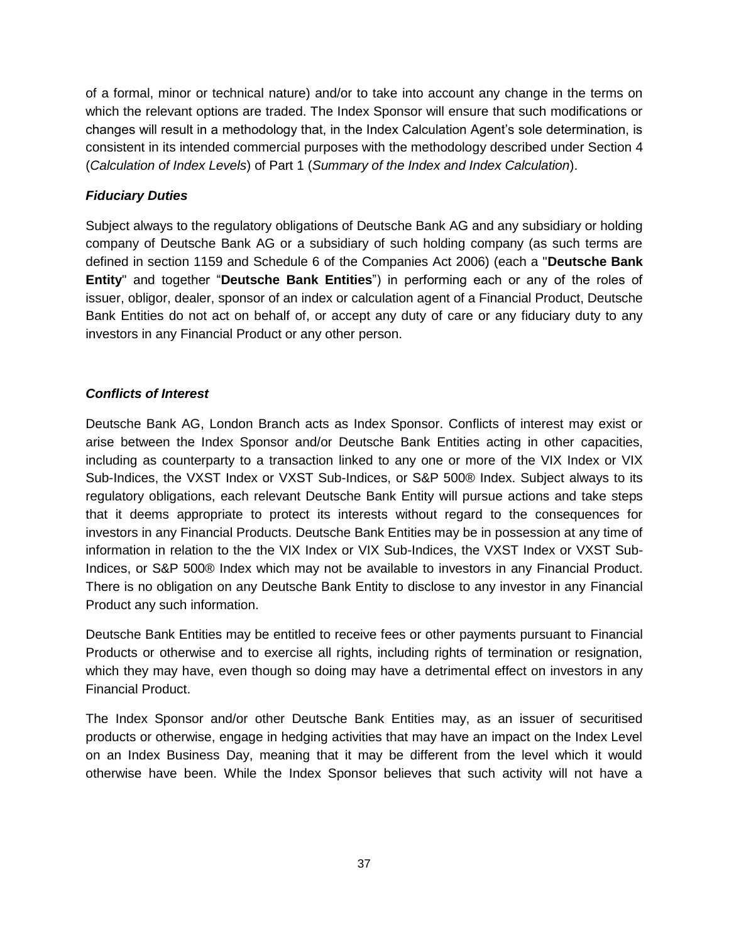of a formal, minor or technical nature) and/or to take into account any change in the terms on which the relevant options are traded. The Index Sponsor will ensure that such modifications or changes will result in a methodology that, in the Index Calculation Agent's sole determination, is consistent in its intended commercial purposes with the methodology described under Section [4](#page-12-0) (*Calculation of Index Levels*) of Part 1 (*Summary of the Index and Index Calculation*).

## *Fiduciary Duties*

Subject always to the regulatory obligations of Deutsche Bank AG and any subsidiary or holding company of Deutsche Bank AG or a subsidiary of such holding company (as such terms are defined in section 1159 and Schedule 6 of the Companies Act 2006) (each a "**Deutsche Bank Entity**" and together "**Deutsche Bank Entities**") in performing each or any of the roles of issuer, obligor, dealer, sponsor of an index or calculation agent of a Financial Product, Deutsche Bank Entities do not act on behalf of, or accept any duty of care or any fiduciary duty to any investors in any Financial Product or any other person.

### *Conflicts of Interest*

Deutsche Bank AG, London Branch acts as Index Sponsor. Conflicts of interest may exist or arise between the Index Sponsor and/or Deutsche Bank Entities acting in other capacities, including as counterparty to a transaction linked to any one or more of the VIX Index or VIX Sub-Indices, the VXST Index or VXST Sub-Indices, or S&P 500® Index. Subject always to its regulatory obligations, each relevant Deutsche Bank Entity will pursue actions and take steps that it deems appropriate to protect its interests without regard to the consequences for investors in any Financial Products. Deutsche Bank Entities may be in possession at any time of information in relation to the the VIX Index or VIX Sub-Indices, the VXST Index or VXST Sub-Indices, or S&P 500® Index which may not be available to investors in any Financial Product. There is no obligation on any Deutsche Bank Entity to disclose to any investor in any Financial Product any such information.

Deutsche Bank Entities may be entitled to receive fees or other payments pursuant to Financial Products or otherwise and to exercise all rights, including rights of termination or resignation, which they may have, even though so doing may have a detrimental effect on investors in any Financial Product.

The Index Sponsor and/or other Deutsche Bank Entities may, as an issuer of securitised products or otherwise, engage in hedging activities that may have an impact on the Index Level on an Index Business Day, meaning that it may be different from the level which it would otherwise have been. While the Index Sponsor believes that such activity will not have a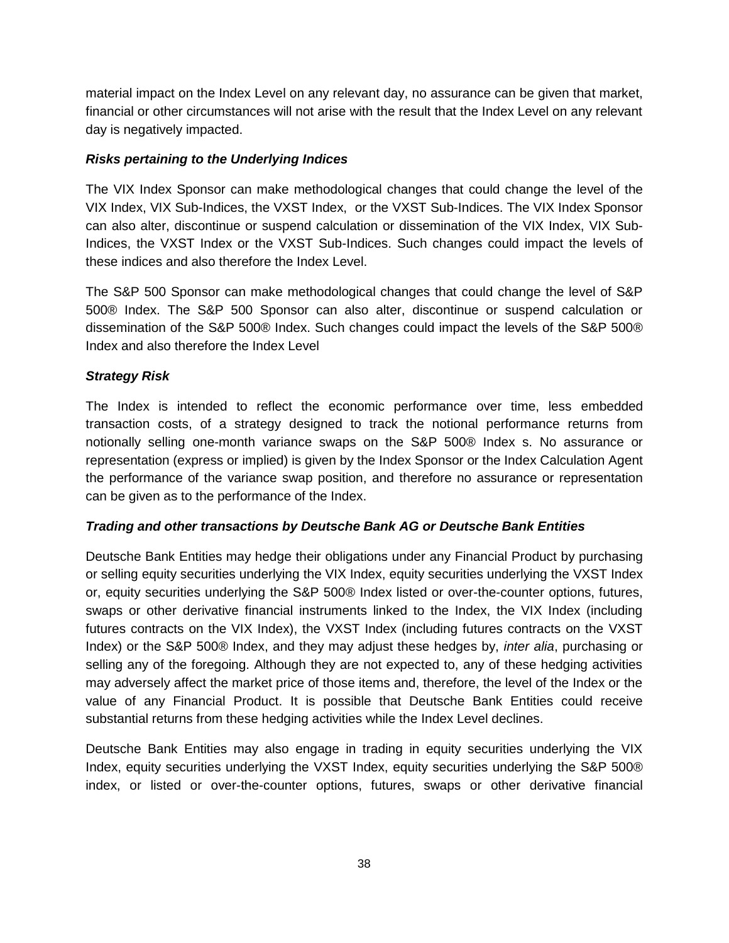material impact on the Index Level on any relevant day, no assurance can be given that market, financial or other circumstances will not arise with the result that the Index Level on any relevant day is negatively impacted.

## *Risks pertaining to the Underlying Indices*

The VIX Index Sponsor can make methodological changes that could change the level of the VIX Index, VIX Sub-Indices, the VXST Index, or the VXST Sub-Indices. The VIX Index Sponsor can also alter, discontinue or suspend calculation or dissemination of the VIX Index, VIX Sub-Indices, the VXST Index or the VXST Sub-Indices. Such changes could impact the levels of these indices and also therefore the Index Level.

The S&P 500 Sponsor can make methodological changes that could change the level of S&P 500® Index. The S&P 500 Sponsor can also alter, discontinue or suspend calculation or dissemination of the S&P 500® Index. Such changes could impact the levels of the S&P 500® Index and also therefore the Index Level

## *Strategy Risk*

The Index is intended to reflect the economic performance over time, less embedded transaction costs, of a strategy designed to track the notional performance returns from notionally selling one-month variance swaps on the S&P 500® Index s. No assurance or representation (express or implied) is given by the Index Sponsor or the Index Calculation Agent the performance of the variance swap position, and therefore no assurance or representation can be given as to the performance of the Index.

### *Trading and other transactions by Deutsche Bank AG or Deutsche Bank Entities*

Deutsche Bank Entities may hedge their obligations under any Financial Product by purchasing or selling equity securities underlying the VIX Index, equity securities underlying the VXST Index or, equity securities underlying the S&P 500® Index listed or over-the-counter options, futures, swaps or other derivative financial instruments linked to the Index, the VIX Index (including futures contracts on the VIX Index), the VXST Index (including futures contracts on the VXST Index) or the S&P 500® Index, and they may adjust these hedges by, *inter alia*, purchasing or selling any of the foregoing. Although they are not expected to, any of these hedging activities may adversely affect the market price of those items and, therefore, the level of the Index or the value of any Financial Product. It is possible that Deutsche Bank Entities could receive substantial returns from these hedging activities while the Index Level declines.

Deutsche Bank Entities may also engage in trading in equity securities underlying the VIX Index, equity securities underlying the VXST Index, equity securities underlying the S&P 500® index, or listed or over-the-counter options, futures, swaps or other derivative financial